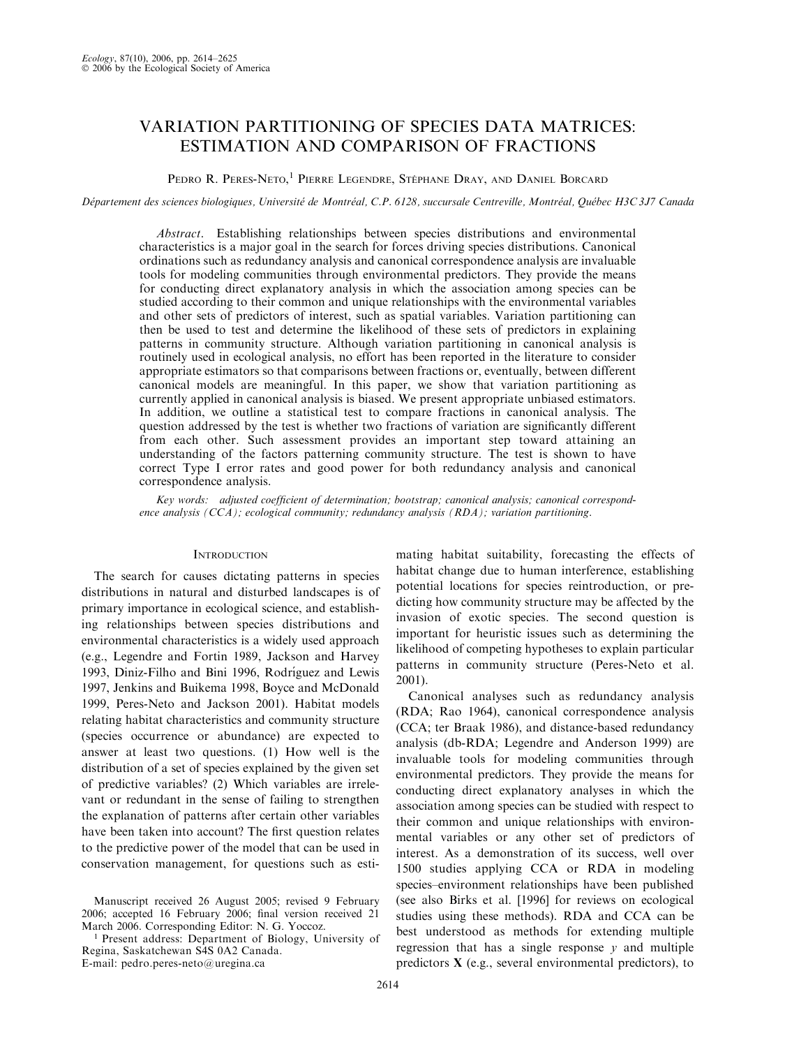### VARIATION PARTITIONING OF SPECIES DATA MATRICES: ESTIMATION AND COMPARISON OF FRACTIONS

Pedro R. Peres-Neto,<sup>1</sup> Pierre Legendre, Stéphane Dray, and Daniel Borcard

Département des sciences biologiques, Université de Montréal, C.P. 6128, succursale Centreville, Montréal, Québec H3C 3J7 Canada

Abstract. Establishing relationships between species distributions and environmental characteristics is a major goal in the search for forces driving species distributions. Canonical ordinations such as redundancy analysis and canonical correspondence analysis are invaluable tools for modeling communities through environmental predictors. They provide the means for conducting direct explanatory analysis in which the association among species can be studied according to their common and unique relationships with the environmental variables and other sets of predictors of interest, such as spatial variables. Variation partitioning can then be used to test and determine the likelihood of these sets of predictors in explaining patterns in community structure. Although variation partitioning in canonical analysis is routinely used in ecological analysis, no effort has been reported in the literature to consider appropriate estimators so that comparisons between fractions or, eventually, between different canonical models are meaningful. In this paper, we show that variation partitioning as currently applied in canonical analysis is biased. We present appropriate unbiased estimators. In addition, we outline a statistical test to compare fractions in canonical analysis. The question addressed by the test is whether two fractions of variation are significantly different from each other. Such assessment provides an important step toward attaining an understanding of the factors patterning community structure. The test is shown to have correct Type I error rates and good power for both redundancy analysis and canonical correspondence analysis.

Key words: adjusted coefficient of determination; bootstrap; canonical analysis; canonical correspondence analysis  $(CCA)$ ; ecological community; redundancy analysis  $(RDA)$ ; variation partitioning.

#### **INTRODUCTION**

The search for causes dictating patterns in species distributions in natural and disturbed landscapes is of primary importance in ecological science, and establishing relationships between species distributions and environmental characteristics is a widely used approach (e.g., Legendre and Fortin 1989, Jackson and Harvey 1993, Diniz-Filho and Bini 1996, Rodríguez and Lewis 1997, Jenkins and Buikema 1998, Boyce and McDonald 1999, Peres-Neto and Jackson 2001). Habitat models relating habitat characteristics and community structure (species occurrence or abundance) are expected to answer at least two questions. (1) How well is the distribution of a set of species explained by the given set of predictive variables? (2) Which variables are irrelevant or redundant in the sense of failing to strengthen the explanation of patterns after certain other variables have been taken into account? The first question relates to the predictive power of the model that can be used in conservation management, for questions such as esti-

E-mail: pedro.peres-neto@uregina.ca

mating habitat suitability, forecasting the effects of habitat change due to human interference, establishing potential locations for species reintroduction, or predicting how community structure may be affected by the invasion of exotic species. The second question is important for heuristic issues such as determining the likelihood of competing hypotheses to explain particular patterns in community structure (Peres-Neto et al. 2001).

Canonical analyses such as redundancy analysis (RDA; Rao 1964), canonical correspondence analysis (CCA; ter Braak 1986), and distance-based redundancy analysis (db-RDA; Legendre and Anderson 1999) are invaluable tools for modeling communities through environmental predictors. They provide the means for conducting direct explanatory analyses in which the association among species can be studied with respect to their common and unique relationships with environmental variables or any other set of predictors of interest. As a demonstration of its success, well over 1500 studies applying CCA or RDA in modeling species–environment relationships have been published (see also Birks et al. [1996] for reviews on ecological studies using these methods). RDA and CCA can be best understood as methods for extending multiple regression that has a single response  $y$  and multiple predictors X (e.g., several environmental predictors), to

Manuscript received 26 August 2005; revised 9 February 2006; accepted 16 February 2006; final version received 21 March 2006. Corresponding Editor: N. G. Yoccoz.

<sup>1</sup> Present address: Department of Biology, University of Regina, Saskatchewan S4S 0A2 Canada.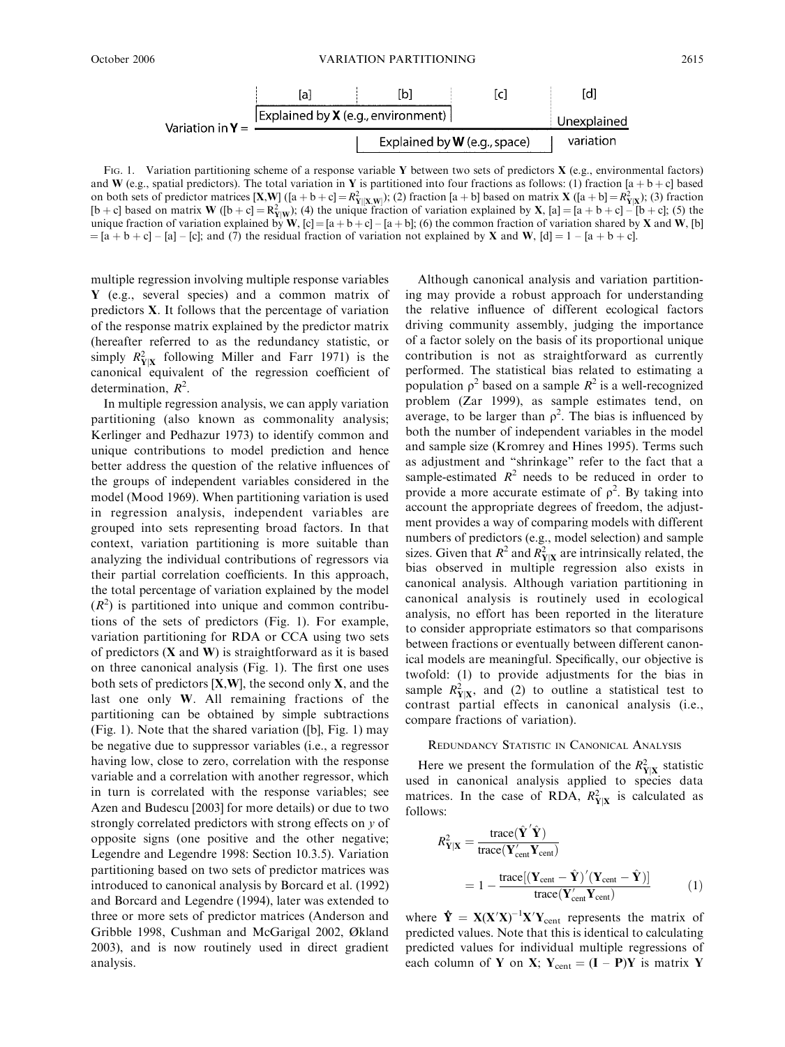

FIG. 1. Variation partitioning scheme of a response variable Y between two sets of predictors  $X$  (e.g., environmental factors) and W (e.g., spatial predictors). The total variation in Y is partitioned into four fractions as follows: (1) fraction [a + b + c] based on both sets of predictor matrices  $[X, W]$  ([a + b + c] =  $R_{Y|X,W}^2$ ); (2) fraction [a + b] based on matrix X ([a + b] =  $R_{Y|X}^2$ ); (3) fraction [b + c] based on matrix **W** ([b + c] =  $R_{Y|W}^2$ ); (4) the unique fraction of variation explained by **X**, [a] = [a + b + c] - [b + c]; (5) the unique fraction of variation explained by W,  $[c] = [a + b + c] - [a + b]$ ; (6) the common fraction of variation shared by X and W, [b]  $=[a + b + c] - [a] - [c]$ ; and (7) the residual fraction of variation not explained by **X** and **W**,  $[d] = 1 - [a + b + c]$ .

multiple regression involving multiple response variables Y (e.g., several species) and a common matrix of predictors X. It follows that the percentage of variation of the response matrix explained by the predictor matrix (hereafter referred to as the redundancy statistic, or simply  $R_{\text{Y}|X}^2$  following Miller and Farr 1971) is the canonical equivalent of the regression coefficient of determination,  $R^2$ .

In multiple regression analysis, we can apply variation partitioning (also known as commonality analysis; Kerlinger and Pedhazur 1973) to identify common and unique contributions to model prediction and hence better address the question of the relative influences of the groups of independent variables considered in the model (Mood 1969). When partitioning variation is used in regression analysis, independent variables are grouped into sets representing broad factors. In that context, variation partitioning is more suitable than analyzing the individual contributions of regressors via their partial correlation coefficients. In this approach, the total percentage of variation explained by the model  $(R<sup>2</sup>)$  is partitioned into unique and common contributions of the sets of predictors (Fig. 1). For example, variation partitioning for RDA or CCA using two sets of predictors  $(X \text{ and } W)$  is straightforward as it is based on three canonical analysis (Fig. 1). The first one uses both sets of predictors  $[X,W]$ , the second only  $X$ , and the last one only W. All remaining fractions of the partitioning can be obtained by simple subtractions (Fig. 1). Note that the shared variation ([b], Fig. 1) may be negative due to suppressor variables (i.e., a regressor having low, close to zero, correlation with the response variable and a correlation with another regressor, which in turn is correlated with the response variables; see Azen and Budescu [2003] for more details) or due to two strongly correlated predictors with strong effects on y of opposite signs (one positive and the other negative; Legendre and Legendre 1998: Section 10.3.5). Variation partitioning based on two sets of predictor matrices was introduced to canonical analysis by Borcard et al. (1992) and Borcard and Legendre (1994), later was extended to three or more sets of predictor matrices (Anderson and Gribble 1998, Cushman and McGarigal 2002, Økland 2003), and is now routinely used in direct gradient analysis.

Although canonical analysis and variation partitioning may provide a robust approach for understanding the relative influence of different ecological factors driving community assembly, judging the importance of a factor solely on the basis of its proportional unique contribution is not as straightforward as currently performed. The statistical bias related to estimating a population  $\rho^2$  based on a sample  $R^2$  is a well-recognized problem (Zar 1999), as sample estimates tend, on average, to be larger than  $\rho^2$ . The bias is influenced by both the number of independent variables in the model and sample size (Kromrey and Hines 1995). Terms such as adjustment and ''shrinkage'' refer to the fact that a sample-estimated  $R^2$  needs to be reduced in order to provide a more accurate estimate of  $\rho^2$ . By taking into account the appropriate degrees of freedom, the adjustment provides a way of comparing models with different numbers of predictors (e.g., model selection) and sample sizes. Given that  $R^2$  and  $R_{Y|X}^2$  are intrinsically related, the bias observed in multiple regression also exists in canonical analysis. Although variation partitioning in canonical analysis is routinely used in ecological analysis, no effort has been reported in the literature to consider appropriate estimators so that comparisons between fractions or eventually between different canonical models are meaningful. Specifically, our objective is twofold: (1) to provide adjustments for the bias in sample  $R_{\text{Y}|X}^2$ , and (2) to outline a statistical test to contrast partial effects in canonical analysis (i.e., compare fractions of variation).

### REDUNDANCY STATISTIC IN CANONICAL ANALYSIS

Here we present the formulation of the  $R_{Y|X}^2$  statistic used in canonical analysis applied to species data matrices. In the case of RDA,  $R_{Y|X}^2$  is calculated as follows:

$$
R_{\mathbf{Y}|\mathbf{X}}^2 = \frac{\text{trace}(\hat{\mathbf{Y}}'\hat{\mathbf{Y}})}{\text{trace}(\mathbf{Y}_{\text{cent}}'\mathbf{Y}_{\text{cent}})}
$$
  
= 
$$
1 - \frac{\text{trace}[(\mathbf{Y}_{\text{cent}} - \hat{\mathbf{Y}})'(\mathbf{Y}_{\text{cent}} - \hat{\mathbf{Y}})]}{\text{trace}(\mathbf{Y}_{\text{cent}}'\mathbf{Y}_{\text{cent}})}
$$
(1)

where  $\mathbf{\hat{Y}} = \mathbf{X}(\mathbf{X}'\mathbf{X})^{-1}\mathbf{X}'\mathbf{Y}_{\text{cent}}$  represents the matrix of predicted values. Note that this is identical to calculating predicted values for individual multiple regressions of each column of Y on X;  $Y_{cent} = (I - P)Y$  is matrix Y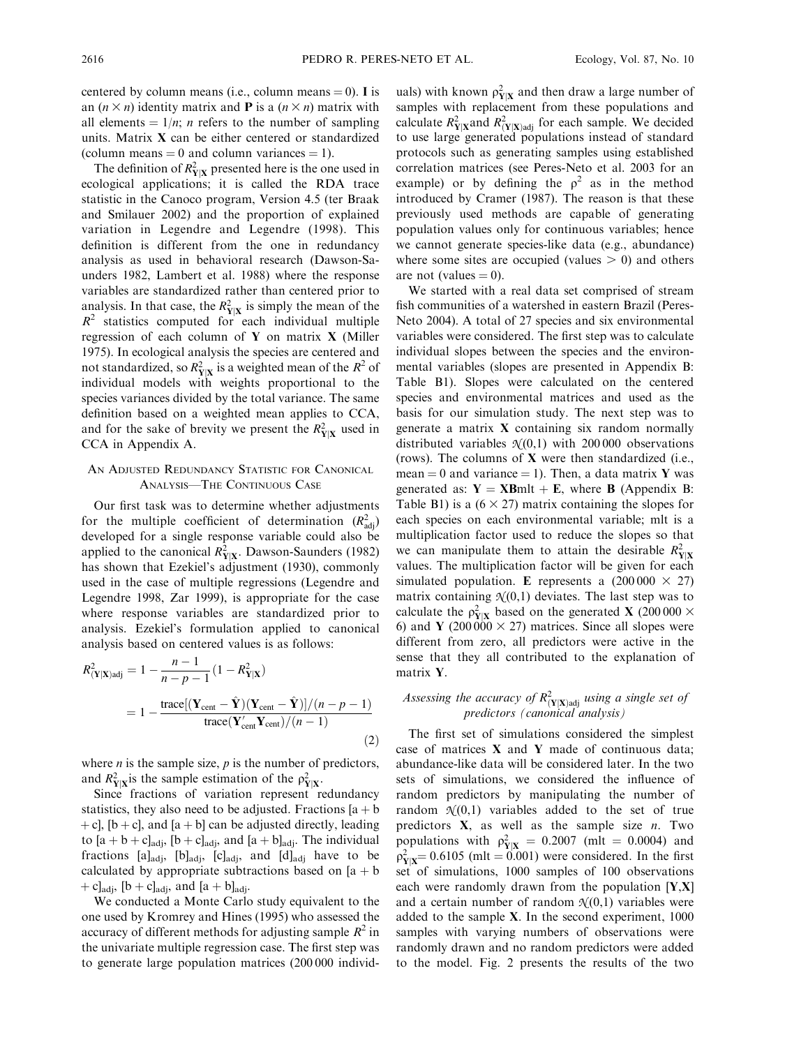centered by column means (i.e., column means  $= 0$ ). I is an  $(n \times n)$  identity matrix and **P** is a  $(n \times n)$  matrix with all elements  $= 1/n$ ; *n* refers to the number of sampling units. Matrix X can be either centered or standardized (column means  $= 0$  and column variances  $= 1$ ).

The definition of  $R_{Y|X}^2$  presented here is the one used in ecological applications; it is called the RDA trace statistic in the Canoco program, Version 4.5 (ter Braak and Smilauer 2002) and the proportion of explained variation in Legendre and Legendre (1998). This definition is different from the one in redundancy analysis as used in behavioral research (Dawson-Saunders 1982, Lambert et al. 1988) where the response variables are standardized rather than centered prior to analysis. In that case, the  $R_{Y|X}^2$  is simply the mean of the  $R<sup>2</sup>$  statistics computed for each individual multiple regression of each column of Y on matrix X (Miller 1975). In ecological analysis the species are centered and not standardized, so  $R_{\text{Y}|X}^2$  is a weighted mean of the  $R^2$  of individual models with weights proportional to the species variances divided by the total variance. The same definition based on a weighted mean applies to CCA, and for the sake of brevity we present the  $R_{Y|X}^2$  used in CCA in Appendix A.

### AN ADJUSTED REDUNDANCY STATISTIC FOR CANONICAL ANALYSIS—THE CONTINUOUS CASE

Our first task was to determine whether adjustments for the multiple coefficient of determination  $(R_{\text{adj}}^2)$ developed for a single response variable could also be applied to the canonical  $R_{Y|X}^2$ . Dawson-Saunders (1982) has shown that Ezekiel's adjustment (1930), commonly used in the case of multiple regressions (Legendre and Legendre 1998, Zar 1999), is appropriate for the case where response variables are standardized prior to analysis. Ezekiel's formulation applied to canonical analysis based on centered values is as follows:

$$
R_{(\mathbf{Y}|\mathbf{X})\text{adj}}^{2} = 1 - \frac{n-1}{n-p-1} (1 - R_{\mathbf{Y}|\mathbf{X}}^{2})
$$
  
= 
$$
1 - \frac{\text{trace}[(\mathbf{Y}_{\text{cent}} - \hat{\mathbf{Y}})(\mathbf{Y}_{\text{cent}} - \hat{\mathbf{Y}})]/(n-p-1)}{\text{trace}(\mathbf{Y}_{\text{cent}}^{2}\mathbf{Y}_{\text{cent}})/(n-1)}
$$
(2)

where  $n$  is the sample size,  $p$  is the number of predictors, and  $R_{\text{Y}|X}^2$  is the sample estimation of the  $\rho_{\text{Y}|X}^2$ .

Since fractions of variation represent redundancy statistics, they also need to be adjusted. Fractions  $[a + b]$ + c], [b + c], and [a + b] can be adjusted directly, leading to  $[a + b + c]_{\text{adj}}$ ,  $[b + c]_{\text{adj}}$ , and  $[a + b]_{\text{adj}}$ . The individual fractions  $[a]_{\text{adj}}$ ,  $[b]_{\text{adj}}$ ,  $[c]_{\text{adj}}$ , and  $[d]_{\text{adj}}$  have to be calculated by appropriate subtractions based on  $[a + b]$ + c]<sub>adj</sub>,  $[b + c]_{\text{adj}}$ , and  $[a + b]_{\text{adj}}$ .

We conducted a Monte Carlo study equivalent to the one used by Kromrey and Hines (1995) who assessed the accuracy of different methods for adjusting sample  $R^2$  in the univariate multiple regression case. The first step was to generate large population matrices (200 000 individ-

uals) with known  $\rho_{Y|X}^2$  and then draw a large number of samples with replacement from these populations and calculate  $R_{\text{Y}|X}^2$  and  $R_{(\text{Y}|X)$  adj for each sample. We decided to use large generated populations instead of standard protocols such as generating samples using established correlation matrices (see Peres-Neto et al. 2003 for an example) or by defining the  $\rho^2$  as in the method introduced by Cramer (1987). The reason is that these previously used methods are capable of generating population values only for continuous variables; hence we cannot generate species-like data (e.g., abundance) where some sites are occupied (values  $> 0$ ) and others are not (values  $= 0$ ).

We started with a real data set comprised of stream fish communities of a watershed in eastern Brazil (Peres-Neto 2004). A total of 27 species and six environmental variables were considered. The first step was to calculate individual slopes between the species and the environmental variables (slopes are presented in Appendix B: Table B1). Slopes were calculated on the centered species and environmental matrices and used as the basis for our simulation study. The next step was to generate a matrix X containing six random normally distributed variables  $\mathcal{N}(0,1)$  with 200 000 observations (rows). The columns of  $X$  were then standardized (i.e., mean = 0 and variance = 1). Then, a data matrix Y was generated as:  $Y = XBmlt + E$ , where B (Appendix B: Table B1) is a  $(6 \times 27)$  matrix containing the slopes for each species on each environmental variable; mlt is a multiplication factor used to reduce the slopes so that we can manipulate them to attain the desirable  $R_{Y|X}^2$ values. The multiplication factor will be given for each simulated population. E represents a  $(200\,000 \times 27)$ matrix containing  $\mathcal{N}(0,1)$  deviates. The last step was to calculate the  $\rho_{Y|X}^2$  based on the generated **X** (200 000  $\times$ 6) and Y (200 000  $\times$  27) matrices. Since all slopes were different from zero, all predictors were active in the sense that they all contributed to the explanation of matrix Y.

### Assessing the accuracy of  $R_{(\textbf{Y}|\textbf{X})\text{adj}}^2$  using a single set of predictors (canonical analysis)

The first set of simulations considered the simplest case of matrices X and Y made of continuous data; abundance-like data will be considered later. In the two sets of simulations, we considered the influence of random predictors by manipulating the number of random  $\mathcal{N}(0,1)$  variables added to the set of true predictors  $X$ , as well as the sample size  $n$ . Two populations with  $\rho_{Y|X}^2 = 0.2007$  (mlt = 0.0004) and  $\rho_{Y|X}^2$  = 0.6105 (mlt = 0.001) were considered. In the first set of simulations, 1000 samples of 100 observations each were randomly drawn from the population  $[Y,X]$ and a certain number of random  $N(0,1)$  variables were added to the sample X. In the second experiment, 1000 samples with varying numbers of observations were randomly drawn and no random predictors were added to the model. Fig. 2 presents the results of the two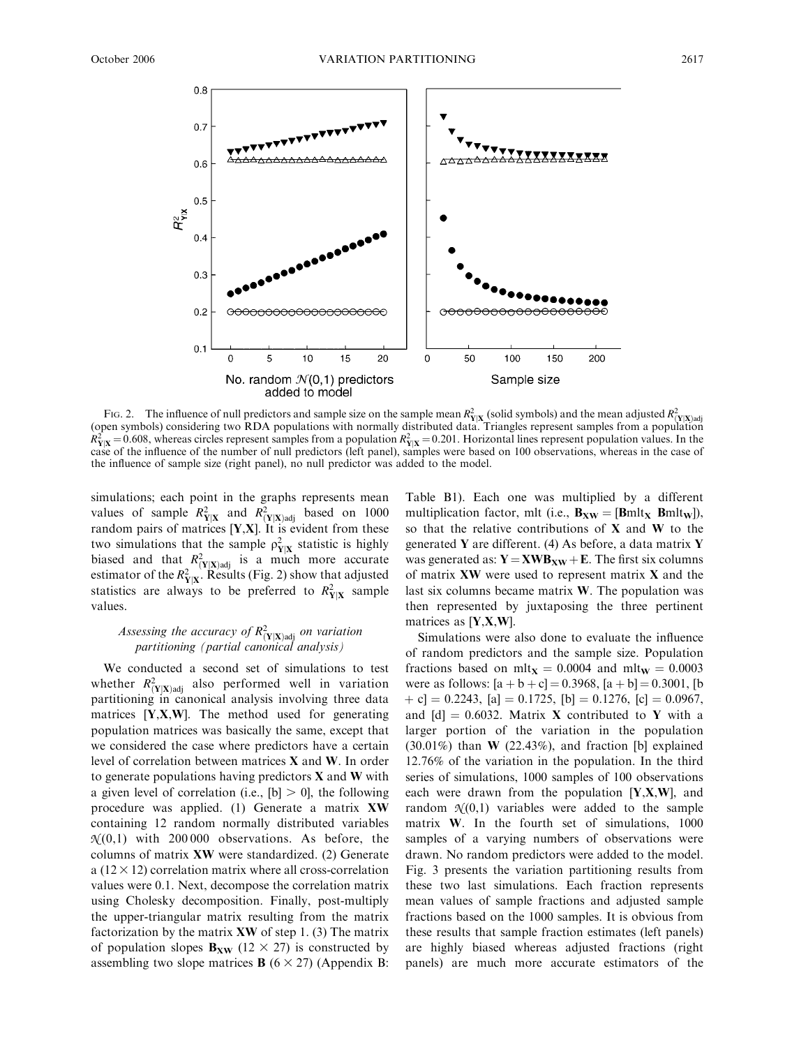

Fig. 2. The influence of null predictors and sample size on the sample mean  $R_{Y|X}^2$  (solid symbols) and the mean adjusted  $R_{(Y|X)adj}^2$  (open symbols) considering two RDA populations with normally distributed data. Tri  $R_{Y|X}^2 = 0.608$ , whereas circles represent samples from a population  $R_{Y|X}^2 = 0.201$ . Horizontal lines represent population values. In the case of the influence of the number of null predictors (left panel), samples were based on 100 observations, whereas in the case of the influence of sample size (right panel), no null predictor was added to the model.

simulations; each point in the graphs represents mean values of sample  $R_{Y|X}^2$  and  $R_{(Y|X)\text{adj}}^2$  based on 1000 random pairs of matrices  $[Y,X]$ . It is evident from these two simulations that the sample  $\rho_{Y|X}^2$  statistic is highly biased and that  $R_{(Y|X) \text{adj}}^2$  is a much more accurate estimator of the  $R_{Y|X}^2$ . Results (Fig. 2) show that adjusted statistics are always to be preferred to  $R_{Y|X}^2$  sample values.

### Assessing the accuracy of  $R_{(\textbf{Y}|\textbf{X})\text{adj}}^2$  on variation partitioning (partial canonical analysis)

We conducted a second set of simulations to test whether  $R_{(Y|X)\text{adj}}^2$  also performed well in variation partitioning in canonical analysis involving three data matrices  $[Y, X, W]$ . The method used for generating population matrices was basically the same, except that we considered the case where predictors have a certain level of correlation between matrices X and W. In order to generate populations having predictors  $X$  and  $W$  with a given level of correlation (i.e.,  $[b] > 0$ ), the following procedure was applied. (1) Generate a matrix XW containing 12 random normally distributed variables  $\mathcal{N}(0,1)$  with 200000 observations. As before, the columns of matrix XW were standardized. (2) Generate a  $(12 \times 12)$  correlation matrix where all cross-correlation values were 0.1. Next, decompose the correlation matrix using Cholesky decomposition. Finally, post-multiply the upper-triangular matrix resulting from the matrix factorization by the matrix  $XW$  of step 1. (3) The matrix of population slopes  $B_{XW}$  (12  $\times$  27) is constructed by assembling two slope matrices **B** ( $6 \times 27$ ) (Appendix B:

Table B1). Each one was multiplied by a different multiplication factor, mlt (i.e.,  $B_{XW} = [Bmlt_X Bmlt_W]$ ), so that the relative contributions of  $X$  and  $W$  to the generated Y are different. (4) As before, a data matrix Y was generated as:  $Y = XWB_{XW} + E$ . The first six columns of matrix XW were used to represent matrix X and the last six columns became matrix W. The population was then represented by juxtaposing the three pertinent matrices as [Y,X,W].

Simulations were also done to evaluate the influence of random predictors and the sample size. Population fractions based on mlt<sub>X</sub> = 0.0004 and mlt<sub>W</sub> = 0.0003 were as follows:  $[a + b + c] = 0.3968$ ,  $[a + b] = 0.3001$ , [b  $|+ c| = 0.2243$ ,  $[a] = 0.1725$ ,  $[b] = 0.1276$ ,  $[c] = 0.0967$ , and  $[d] = 0.6032$ . Matrix X contributed to Y with a larger portion of the variation in the population  $(30.01\%)$  than **W**  $(22.43\%)$ , and fraction [b] explained 12.76% of the variation in the population. In the third series of simulations, 1000 samples of 100 observations each were drawn from the population  $[Y, X, W]$ , and random  $\mathcal{N}(0,1)$  variables were added to the sample matrix W. In the fourth set of simulations, 1000 samples of a varying numbers of observations were drawn. No random predictors were added to the model. Fig. 3 presents the variation partitioning results from these two last simulations. Each fraction represents mean values of sample fractions and adjusted sample fractions based on the 1000 samples. It is obvious from these results that sample fraction estimates (left panels) are highly biased whereas adjusted fractions (right panels) are much more accurate estimators of the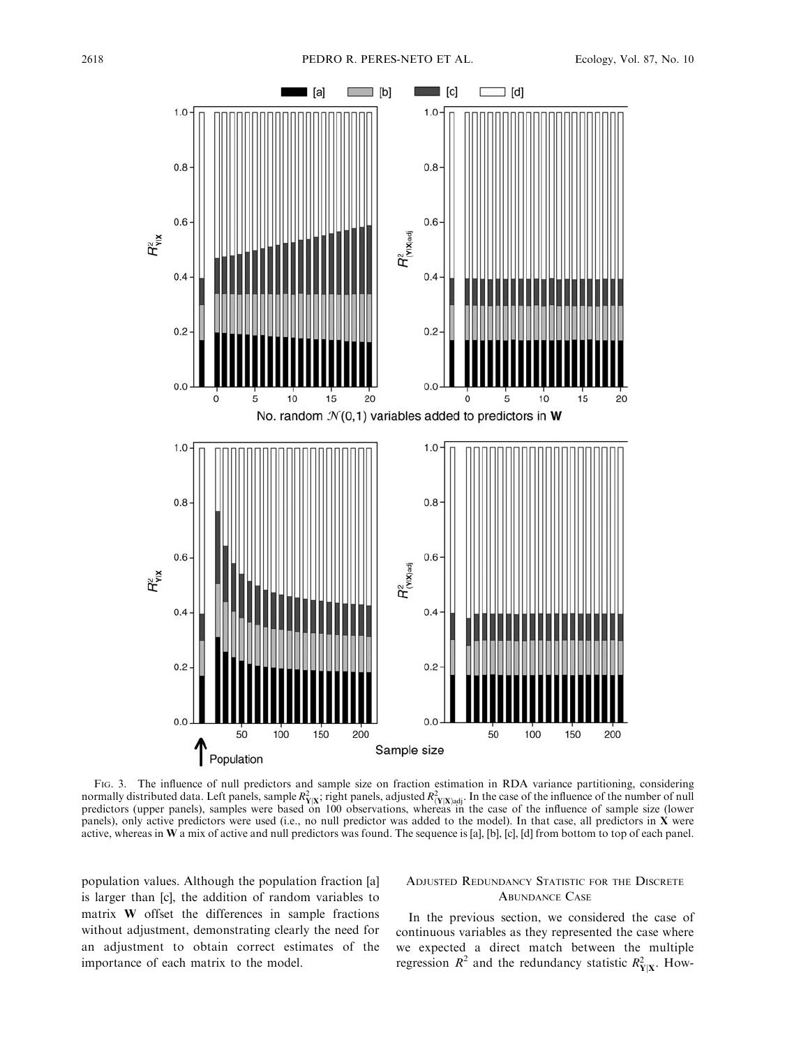

FIG. 3. The influence of null predictors and sample size on fraction estimation in RDA variance partitioning, considering normally distributed data. Left panels, sample  $R_{Y|X}^2$ , right panels, adjusted  $R_{(Y|X)$ <sub>adj</sub>. In the case of the influence of the number of null predictors (upper panels), samples were based on 100 observations, whereas in the case of the influence of sample size (lower panels), only active predictors were used (i.e., no null predictor was added to the model). In that case, all predictors in X were active, whereas in W a mix of active and null predictors was found. The sequence is [a], [b], [c], [d] from bottom to top of each panel.

population values. Although the population fraction [a] is larger than [c], the addition of random variables to matrix W offset the differences in sample fractions without adjustment, demonstrating clearly the need for an adjustment to obtain correct estimates of the importance of each matrix to the model.

### ADJUSTED REDUNDANCY STATISTIC FOR THE DISCRETE ABUNDANCE CASE

In the previous section, we considered the case of continuous variables as they represented the case where we expected a direct match between the multiple regression  $R^2$  and the redundancy statistic  $R_{Y|X}^2$ . How-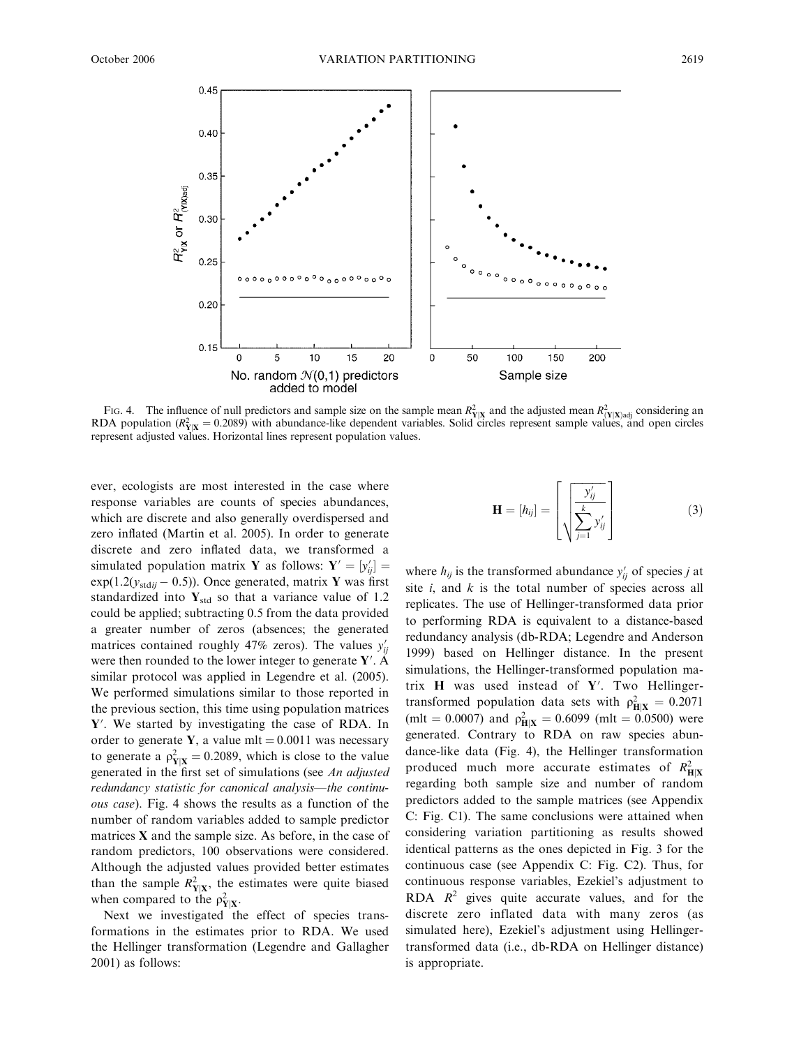

Fig. 4. The influence of null predictors and sample size on the sample mean  $R_{Y|X}^2$  and the adjusted mean  $R_{(Y|X)adj}^2$  considering an RDA population ( $R_{Y|X}^2 = 0.2089$ ) with abundance-like dependent variables. Solid represent adjusted values. Horizontal lines represent population values.

ever, ecologists are most interested in the case where response variables are counts of species abundances, which are discrete and also generally overdispersed and zero inflated (Martin et al. 2005). In order to generate discrete and zero inflated data, we transformed a simulated population matrix **Y** as follows:  $Y' = [y'_{ij}]$  $exp(1.2(y_{stdii} - 0.5))$ . Once generated, matrix Y was first standardized into  $Y_{std}$  so that a variance value of 1.2 could be applied; subtracting 0.5 from the data provided a greater number of zeros (absences; the generated matrices contained roughly 47% zeros). The values  $y'_{ij}$ were then rounded to the lower integer to generate  $Y'$ . A similar protocol was applied in Legendre et al. (2005). We performed simulations similar to those reported in the previous section, this time using population matrices  $Y'$ . We started by investigating the case of RDA. In order to generate Y, a value mlt =  $0.0011$  was necessary to generate a  $\rho_{Y|X}^2 = 0.2089$ , which is close to the value generated in the first set of simulations (see An adjusted redundancy statistic for canonical analysis—the continuous case). Fig. 4 shows the results as a function of the number of random variables added to sample predictor matrices  $X$  and the sample size. As before, in the case of random predictors, 100 observations were considered. Although the adjusted values provided better estimates than the sample  $R_{Y|X}^2$ , the estimates were quite biased when compared to the  $\rho_{Y|X}^2$ .

Next we investigated the effect of species transformations in the estimates prior to RDA. We used the Hellinger transformation (Legendre and Gallagher 2001) as follows:

$$
\mathbf{H} = [h_{ij}] = \begin{bmatrix} \frac{y'_{ij}}{\sum_{j=1}^{k} y'_{ij}} \end{bmatrix}
$$
 (3)

where  $h_{ij}$  is the transformed abundance  $y'_{ij}$  of species j at site  $i$ , and  $k$  is the total number of species across all replicates. The use of Hellinger-transformed data prior to performing RDA is equivalent to a distance-based redundancy analysis (db-RDA; Legendre and Anderson 1999) based on Hellinger distance. In the present simulations, the Hellinger-transformed population matrix  $H$  was used instead of Y'. Two Hellingertransformed population data sets with  $\rho_{\text{H}|X}^2 = 0.2071$ (mlt = 0.0007) and  $\rho_{\text{H}|X}^2 = 0.6099$  (mlt = 0.0500) were generated. Contrary to RDA on raw species abundance-like data (Fig. 4), the Hellinger transformation produced much more accurate estimates of  $R_{\text{H}|\text{X}}^2$ regarding both sample size and number of random predictors added to the sample matrices (see Appendix C: Fig. C1). The same conclusions were attained when considering variation partitioning as results showed identical patterns as the ones depicted in Fig. 3 for the continuous case (see Appendix C: Fig. C2). Thus, for continuous response variables, Ezekiel's adjustment to RDA  $R^2$  gives quite accurate values, and for the discrete zero inflated data with many zeros (as simulated here), Ezekiel's adjustment using Hellingertransformed data (i.e., db-RDA on Hellinger distance) is appropriate.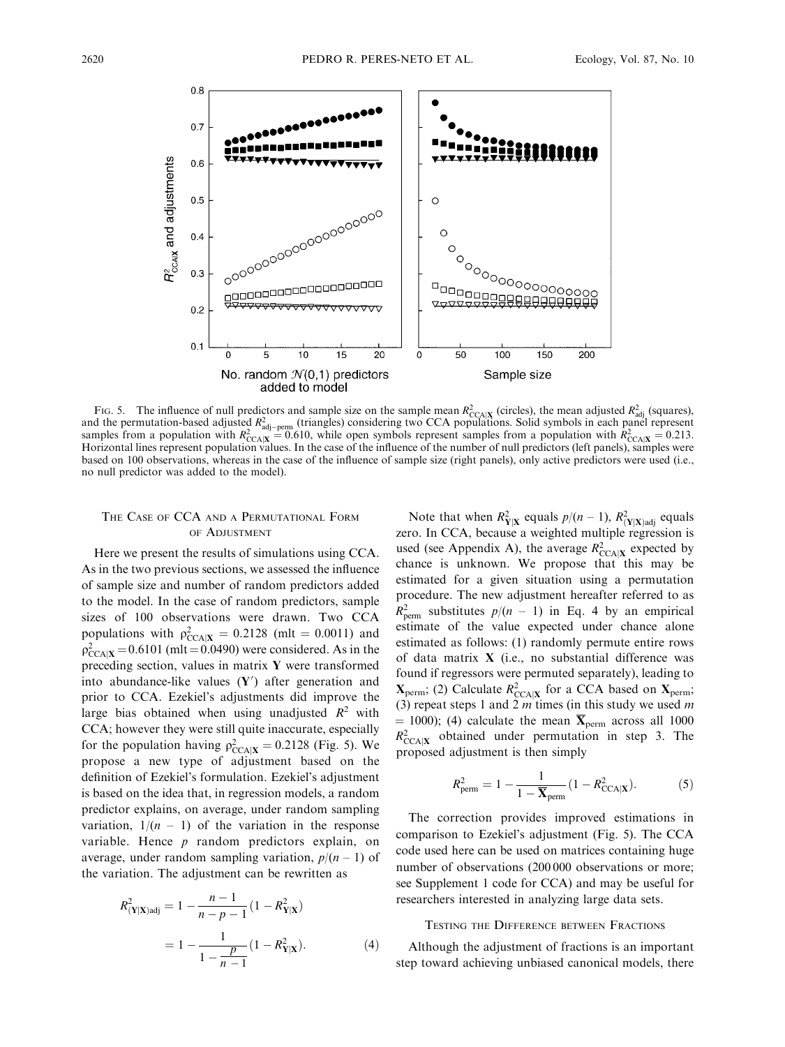

Fig. 5. The influence of null predictors and sample size on the sample mean  $R_{\text{CCA}|X}^2$  (circles), the mean adjusted  $R_{\text{adj}}^2$  (squares), and the permutation-based adjusted  $R_{\text{adj}}^2$  (triangles) considering two CCA based on 100 observations, whereas in the case of the influence of sample size (right panels), only active predictors were used (i.e., no null predictor was added to the model).

#### THE CASE OF CCA AND A PERMUTATIONAL FORM OF ADJUSTMENT

Here we present the results of simulations using CCA. As in the two previous sections, we assessed the influence of sample size and number of random predictors added to the model. In the case of random predictors, sample sizes of 100 observations were drawn. Two CCA populations with  $\rho_{\text{CCA}|X}^2 = 0.2128$  (mlt = 0.0011) and  $\rho_{\text{CCA}|X}^2 = 0.6101 \text{ (mlt} = 0.0490)$  were considered. As in the preceding section, values in matrix Y were transformed into abundance-like values  $(Y')$  after generation and prior to CCA. Ezekiel's adjustments did improve the large bias obtained when using unadjusted  $R^2$  with CCA; however they were still quite inaccurate, especially for the population having  $\rho_{\text{CCA}|X}^2 = 0.2128$  (Fig. 5). We propose a new type of adjustment based on the definition of Ezekiel's formulation. Ezekiel's adjustment is based on the idea that, in regression models, a random predictor explains, on average, under random sampling variation,  $1/(n - 1)$  of the variation in the response variable. Hence  $p$  random predictors explain, on average, under random sampling variation,  $p/(n-1)$  of the variation. The adjustment can be rewritten as

$$
R_{(\mathbf{Y}|\mathbf{X})\text{adj}}^2 = 1 - \frac{n-1}{n-p-1} (1 - R_{\mathbf{Y}|\mathbf{X}}^2)
$$

$$
= 1 - \frac{1}{1 - \frac{p}{n-1}} (1 - R_{\mathbf{Y}|\mathbf{X}}^2).
$$
(4)

Note that when  $R_{\mathbf{Y}|\mathbf{X}}^2$  equals  $p/(n-1)$ ,  $R_{(\mathbf{Y}|\mathbf{X})\text{adj}}^2$  equals zero. In CCA, because a weighted multiple regression is used (see Appendix A), the average  $R_{\text{CCA}|X}^2$  expected by chance is unknown. We propose that this may be estimated for a given situation using a permutation procedure. The new adjustment hereafter referred to as  $R_{\text{perm}}^2$  substitutes  $p/(n-1)$  in Eq. 4 by an empirical estimate of the value expected under chance alone estimated as follows: (1) randomly permute entire rows of data matrix X (i.e., no substantial difference was found if regressors were permuted separately), leading to  $X_{\text{perm}}$ ; (2) Calculate  $R_{\text{CCA}|X}^2$  for a CCA based on  $X_{\text{perm}}$ ; (3) repeat steps 1 and 2  $m$  times (in this study we used  $m$  $=$  1000); (4) calculate the mean  $\overline{\mathbf{X}}_{\text{perm}}$  across all 1000  $R_{\text{CCA}|X}^2$  obtained under permutation in step 3. The proposed adjustment is then simply

$$
R_{\text{perm}}^2 = 1 - \frac{1}{1 - \overline{\mathbf{X}}_{\text{perm}}}(1 - R_{\text{CCA}|X}^2). \tag{5}
$$

The correction provides improved estimations in comparison to Ezekiel's adjustment (Fig. 5). The CCA code used here can be used on matrices containing huge number of observations (200 000 observations or more; see Supplement 1 code for CCA) and may be useful for researchers interested in analyzing large data sets.

#### TESTING THE DIFFERENCE BETWEEN FRACTIONS

Although the adjustment of fractions is an important step toward achieving unbiased canonical models, there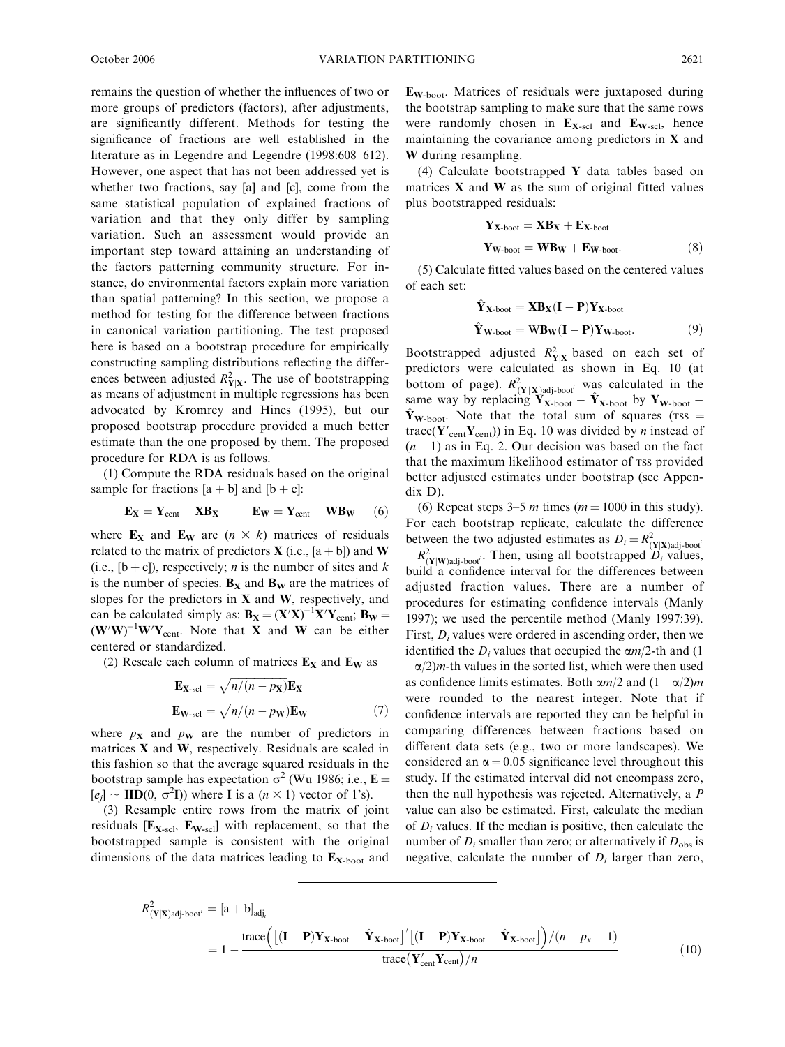remains the question of whether the influences of two or more groups of predictors (factors), after adjustments, are significantly different. Methods for testing the significance of fractions are well established in the literature as in Legendre and Legendre (1998:608–612). However, one aspect that has not been addressed yet is whether two fractions, say [a] and [c], come from the same statistical population of explained fractions of variation and that they only differ by sampling variation. Such an assessment would provide an important step toward attaining an understanding of the factors patterning community structure. For instance, do environmental factors explain more variation than spatial patterning? In this section, we propose a method for testing for the difference between fractions in canonical variation partitioning. The test proposed here is based on a bootstrap procedure for empirically constructing sampling distributions reflecting the differences between adjusted  $R_{Y|X}^2$ . The use of bootstrapping as means of adjustment in multiple regressions has been advocated by Kromrey and Hines (1995), but our proposed bootstrap procedure provided a much better estimate than the one proposed by them. The proposed procedure for RDA is as follows.

(1) Compute the RDA residuals based on the original sample for fractions  $[a + b]$  and  $[b + c]$ :

$$
\mathbf{E}_{\mathbf{X}} = \mathbf{Y}_{cent} - \mathbf{X} \mathbf{B}_{\mathbf{X}} \qquad \mathbf{E}_{\mathbf{W}} = \mathbf{Y}_{cent} - \mathbf{W} \mathbf{B}_{\mathbf{W}} \qquad (6)
$$

where  $\mathbf{E}_\mathbf{X}$  and  $\mathbf{E}_\mathbf{W}$  are  $(n \times k)$  matrices of residuals related to the matrix of predictors **X** (i.e.,  $[a + b]$ ) and **W** (i.e.,  $[b + c]$ ), respectively; *n* is the number of sites and *k* is the number of species.  $B_X$  and  $B_W$  are the matrices of slopes for the predictors in  $X$  and  $W$ , respectively, and can be calculated simply as:  $B_X = (X'X)^{-1}X'Y_{cent}$ ;  $B_W =$  $(W'W)^{-1}W'Y_{cent}$ . Note that X and W can be either centered or standardized.

(2) Rescale each column of matrices  $E_X$  and  $E_W$  as

$$
\mathbf{E}_{\mathbf{X}\text{-}sol} = \sqrt{n/(n - p_{\mathbf{X}})} \mathbf{E}_{\mathbf{X}}
$$

$$
\mathbf{E}_{\mathbf{W}\text{-}sol} = \sqrt{n/(n - p_{\mathbf{W}})} \mathbf{E}_{\mathbf{W}}
$$
(7)

where  $p_X$  and  $p_W$  are the number of predictors in matrices X and W, respectively. Residuals are scaled in this fashion so that the average squared residuals in the bootstrap sample has expectation  $\sigma^2$  (Wu 1986; i.e., **E** =  $[e_j] \sim \text{IID}(0, \sigma^2 I)$ ) where **I** is a  $(n \times 1)$  vector of 1's).

(3) Resample entire rows from the matrix of joint residuals  $[E_{\text{X-scl}}, E_{\text{W-scl}}]$  with replacement, so that the bootstrapped sample is consistent with the original dimensions of the data matrices leading to  $E_{\text{X-body}}$  and  $E_{W\text{-boot}}$ . Matrices of residuals were juxtaposed during the bootstrap sampling to make sure that the same rows were randomly chosen in  $E_{X-scl}$  and  $E_{W-scl}$ , hence maintaining the covariance among predictors in  $X$  and W during resampling.

(4) Calculate bootstrapped Y data tables based on matrices  $X$  and  $W$  as the sum of original fitted values plus bootstrapped residuals:

$$
Y_{X\text{-boot}} = XB_X + E_{X\text{-boot}}
$$
  

$$
Y_{W\text{-boot}} = WB_W + E_{W\text{-boot}}.
$$
 (8)

(5) Calculate fitted values based on the centered values of each set:

$$
\hat{\mathbf{Y}}_{\mathbf{X}\text{-boot}} = \mathbf{X}\mathbf{B}_{\mathbf{X}}(\mathbf{I} - \mathbf{P})\mathbf{Y}_{\mathbf{X}\text{-boot}} \n\hat{\mathbf{Y}}_{\mathbf{W}\text{-boot}} = \mathbf{W}\mathbf{B}_{\mathbf{W}}(\mathbf{I} - \mathbf{P})\mathbf{Y}_{\mathbf{W}\text{-boot}}.
$$
\n(9)

Bootstrapped adjusted  $R_{Y|X}^2$  based on each set of predictors were calculated as shown in Eq. 10 (at bottom of page).  $R_{(Y|X) \text{adj-bool}'}^2$  was calculated in the same way by replacing  $\mathbf{Y}_{\mathbf{X}\text{-boot}} - \hat{\mathbf{Y}}_{\mathbf{X}\text{-boot}}$  by  $\mathbf{Y}_{\mathbf{W}\text{-boot}}$  $\hat{Y}_{W\text{-boot}}$ . Note that the total sum of squares (TSS = trace( $\mathbf{Y}_{\text{cent}}'\mathbf{Y}_{\text{cent}}$ )) in Eq. 10 was divided by *n* instead of  $(n - 1)$  as in Eq. 2. Our decision was based on the fact that the maximum likelihood estimator of TSS provided better adjusted estimates under bootstrap (see Appendix D).

(6) Repeat steps  $3-5$  m times ( $m = 1000$  in this study). For each bootstrap replicate, calculate the difference between the two adjusted estimates as  $D_i = R_{(Y|X)\text{adj} \text{-}boot}^2$  $-R^2_{(Y|W) \text{adj-boor}'}$ . Then, using all bootstrapped  $D_i$  values, build a confidence interval for the differences between adjusted fraction values. There are a number of procedures for estimating confidence intervals (Manly 1997); we used the percentile method (Manly 1997:39). First,  $D_i$  values were ordered in ascending order, then we identified the  $D_i$  values that occupied the  $\alpha m/2$ -th and (1)  $-\alpha/2$ )*m*-th values in the sorted list, which were then used as confidence limits estimates. Both  $\alpha m/2$  and  $(1 - \alpha/2)m$ were rounded to the nearest integer. Note that if confidence intervals are reported they can be helpful in comparing differences between fractions based on different data sets (e.g., two or more landscapes). We considered an  $\alpha$  = 0.05 significance level throughout this study. If the estimated interval did not encompass zero, then the null hypothesis was rejected. Alternatively, a P value can also be estimated. First, calculate the median of  $D_i$  values. If the median is positive, then calculate the number of  $D_i$  smaller than zero; or alternatively if  $D_{obs}$  is negative, calculate the number of  $D_i$  larger than zero,

$$
R_{(\mathbf{Y}|\mathbf{X})\text{adj} \text{-} \text{boot}^i}^2 = [\mathbf{a} + \mathbf{b}]_{\text{adj}_i}
$$
  
=  $1 - \frac{\text{trace}\left(\left[ (\mathbf{I} - \mathbf{P})\mathbf{Y}_{\mathbf{X} \text{-} \text{boot}} - \hat{\mathbf{Y}}_{\mathbf{X} \text{-} \text{boot}} \right]' \left[ (\mathbf{I} - \mathbf{P})\mathbf{Y}_{\mathbf{X} \text{-} \text{boot}} - \hat{\mathbf{Y}}_{\mathbf{X} \text{-} \text{boot}} \right] \right) / (n - p_x - 1)}$   

$$
\text{trace}\left(\mathbf{Y}_{\text{cent}}'\mathbf{Y}_{\text{cent}}\right) / n
$$
(10)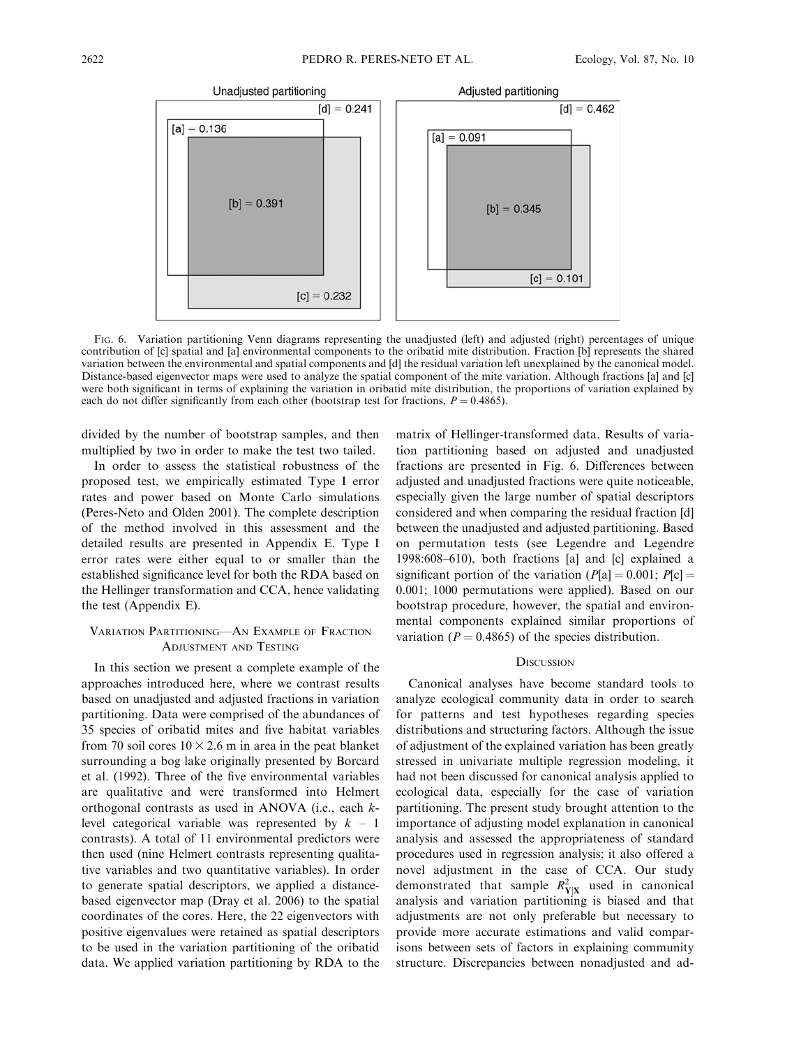

FIG. 6. Variation partitioning Venn diagrams representing the unadjusted (left) and adjusted (right) percentages of unique contribution of [c] spatial and [a] environmental components to the oribatid mite distribution. Fraction [b] represents the shared variation between the environmental and spatial components and [d] the residual variation left unexplained by the canonical model. Distance-based eigenvector maps were used to analyze the spatial component of the mite variation. Although fractions [a] and [c] were both significant in terms of explaining the variation in oribatid mite distribution, the proportions of variation explained by each do not differ significantly from each other (bootstrap test for fractions,  $P = 0.4865$ ).

divided by the number of bootstrap samples, and then multiplied by two in order to make the test two tailed.

In order to assess the statistical robustness of the proposed test, we empirically estimated Type I error rates and power based on Monte Carlo simulations (Peres-Neto and Olden 2001). The complete description of the method involved in this assessment and the detailed results are presented in Appendix E. Type I error rates were either equal to or smaller than the established significance level for both the RDA based on the Hellinger transformation and CCA, hence validating the test (Appendix E).

### VARIATION PARTITIONING—AN EXAMPLE OF FRACTION ADJUSTMENT AND TESTING

In this section we present a complete example of the approaches introduced here, where we contrast results based on unadjusted and adjusted fractions in variation partitioning. Data were comprised of the abundances of 35 species of oribatid mites and five habitat variables from 70 soil cores  $10 \times 2.6$  m in area in the peat blanket surrounding a bog lake originally presented by Borcard et al. (1992). Three of the five environmental variables are qualitative and were transformed into Helmert orthogonal contrasts as used in ANOVA (i.e., each klevel categorical variable was represented by  $k - 1$ contrasts). A total of 11 environmental predictors were then used (nine Helmert contrasts representing qualitative variables and two quantitative variables). In order to generate spatial descriptors, we applied a distancebased eigenvector map (Dray et al. 2006) to the spatial coordinates of the cores. Here, the 22 eigenvectors with positive eigenvalues were retained as spatial descriptors to be used in the variation partitioning of the oribatid data. We applied variation partitioning by RDA to the

matrix of Hellinger-transformed data. Results of variation partitioning based on adjusted and unadjusted fractions are presented in Fig. 6. Differences between adjusted and unadjusted fractions were quite noticeable, especially given the large number of spatial descriptors considered and when comparing the residual fraction [d] between the unadjusted and adjusted partitioning. Based on permutation tests (see Legendre and Legendre 1998:608–610), both fractions [a] and [c] explained a significant portion of the variation ( $P[a] = 0.001$ ;  $P[c] =$ 0.001; 1000 permutations were applied). Based on our bootstrap procedure, however, the spatial and environmental components explained similar proportions of variation ( $P = 0.4865$ ) of the species distribution.

#### **DISCUSSION**

Canonical analyses have become standard tools to analyze ecological community data in order to search for patterns and test hypotheses regarding species distributions and structuring factors. Although the issue of adjustment of the explained variation has been greatly stressed in univariate multiple regression modeling, it had not been discussed for canonical analysis applied to ecological data, especially for the case of variation partitioning. The present study brought attention to the importance of adjusting model explanation in canonical analysis and assessed the appropriateness of standard procedures used in regression analysis; it also offered a novel adjustment in the case of CCA. Our study demonstrated that sample  $R_{Y|X}^2$  used in canonical analysis and variation partitioning is biased and that adjustments are not only preferable but necessary to provide more accurate estimations and valid comparisons between sets of factors in explaining community structure. Discrepancies between nonadjusted and ad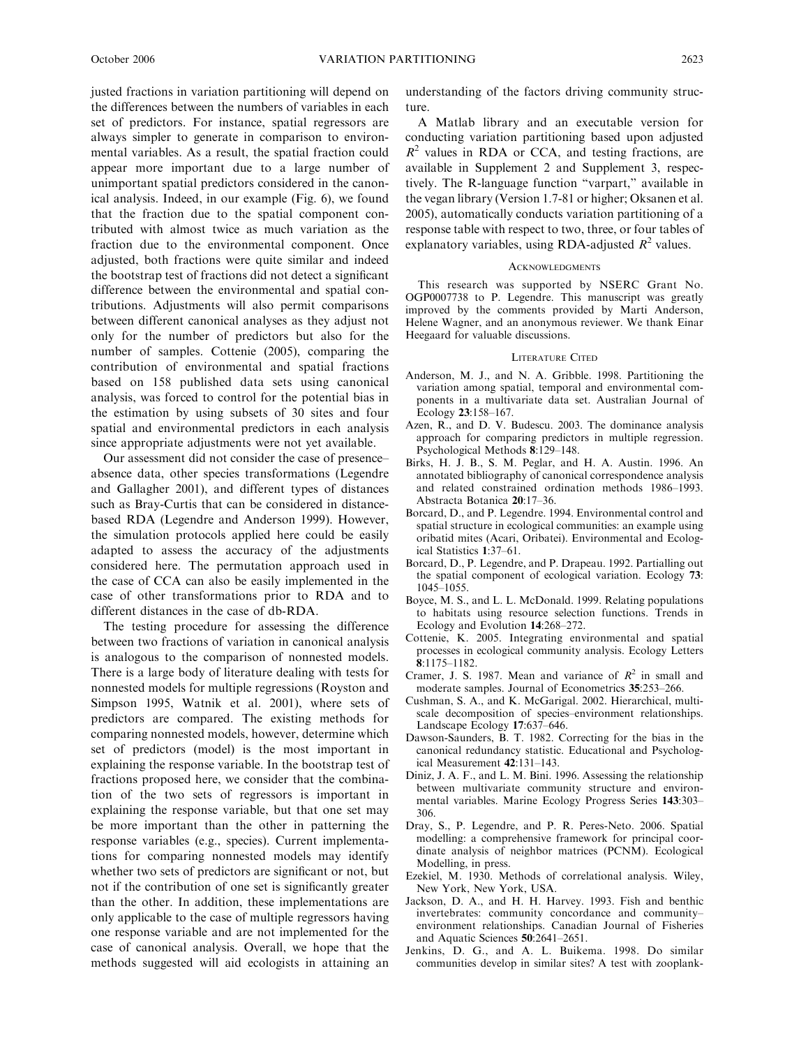justed fractions in variation partitioning will depend on the differences between the numbers of variables in each set of predictors. For instance, spatial regressors are always simpler to generate in comparison to environmental variables. As a result, the spatial fraction could appear more important due to a large number of unimportant spatial predictors considered in the canonical analysis. Indeed, in our example (Fig. 6), we found that the fraction due to the spatial component contributed with almost twice as much variation as the fraction due to the environmental component. Once adjusted, both fractions were quite similar and indeed the bootstrap test of fractions did not detect a significant difference between the environmental and spatial contributions. Adjustments will also permit comparisons between different canonical analyses as they adjust not only for the number of predictors but also for the number of samples. Cottenie (2005), comparing the contribution of environmental and spatial fractions based on 158 published data sets using canonical analysis, was forced to control for the potential bias in the estimation by using subsets of 30 sites and four spatial and environmental predictors in each analysis since appropriate adjustments were not yet available.

Our assessment did not consider the case of presence– absence data, other species transformations (Legendre and Gallagher 2001), and different types of distances such as Bray-Curtis that can be considered in distancebased RDA (Legendre and Anderson 1999). However, the simulation protocols applied here could be easily adapted to assess the accuracy of the adjustments considered here. The permutation approach used in the case of CCA can also be easily implemented in the case of other transformations prior to RDA and to different distances in the case of db-RDA.

The testing procedure for assessing the difference between two fractions of variation in canonical analysis is analogous to the comparison of nonnested models. There is a large body of literature dealing with tests for nonnested models for multiple regressions (Royston and Simpson 1995, Watnik et al. 2001), where sets of predictors are compared. The existing methods for comparing nonnested models, however, determine which set of predictors (model) is the most important in explaining the response variable. In the bootstrap test of fractions proposed here, we consider that the combination of the two sets of regressors is important in explaining the response variable, but that one set may be more important than the other in patterning the response variables (e.g., species). Current implementations for comparing nonnested models may identify whether two sets of predictors are significant or not, but not if the contribution of one set is significantly greater than the other. In addition, these implementations are only applicable to the case of multiple regressors having one response variable and are not implemented for the case of canonical analysis. Overall, we hope that the methods suggested will aid ecologists in attaining an understanding of the factors driving community structure.

A Matlab library and an executable version for conducting variation partitioning based upon adjusted  $R^2$  values in RDA or CCA, and testing fractions, are available in Supplement 2 and Supplement 3, respectively. The R-language function ''varpart,'' available in the vegan library (Version 1.7-81 or higher; Oksanen et al. 2005), automatically conducts variation partitioning of a response table with respect to two, three, or four tables of explanatory variables, using RDA-adjusted  $R^2$  values.

#### **ACKNOWLEDGMENTS**

This research was supported by NSERC Grant No. OGP0007738 to P. Legendre. This manuscript was greatly improved by the comments provided by Marti Anderson, Helene Wagner, and an anonymous reviewer. We thank Einar Heegaard for valuable discussions.

#### LITERATURE CITED

- Anderson, M. J., and N. A. Gribble. 1998. Partitioning the variation among spatial, temporal and environmental components in a multivariate data set. Australian Journal of Ecology 23:158–167.
- Azen, R., and D. V. Budescu. 2003. The dominance analysis approach for comparing predictors in multiple regression. Psychological Methods 8:129–148.
- Birks, H. J. B., S. M. Peglar, and H. A. Austin. 1996. An annotated bibliography of canonical correspondence analysis and related constrained ordination methods 1986–1993. Abstracta Botanica 20:17–36.
- Borcard, D., and P. Legendre. 1994. Environmental control and spatial structure in ecological communities: an example using oribatid mites (Acari, Oribatei). Environmental and Ecological Statistics 1:37–61.
- Borcard, D., P. Legendre, and P. Drapeau. 1992. Partialling out the spatial component of ecological variation. Ecology 73: 1045–1055.
- Boyce, M. S., and L. L. McDonald. 1999. Relating populations to habitats using resource selection functions. Trends in Ecology and Evolution 14:268–272.
- Cottenie, K. 2005. Integrating environmental and spatial processes in ecological community analysis. Ecology Letters 8:1175–1182.
- Cramer, J. S. 1987. Mean and variance of  $R^2$  in small and moderate samples. Journal of Econometrics 35:253–266.
- Cushman, S. A., and K. McGarigal. 2002. Hierarchical, multiscale decomposition of species–environment relationships. Landscape Ecology 17:637–646.
- Dawson-Saunders, B. T. 1982. Correcting for the bias in the canonical redundancy statistic. Educational and Psychological Measurement 42:131–143.
- Diniz, J. A. F., and L. M. Bini. 1996. Assessing the relationship between multivariate community structure and environmental variables. Marine Ecology Progress Series 143:303– 306.
- Dray, S., P. Legendre, and P. R. Peres-Neto. 2006. Spatial modelling: a comprehensive framework for principal coordinate analysis of neighbor matrices (PCNM). Ecological Modelling, in press.
- Ezekiel, M. 1930. Methods of correlational analysis. Wiley, New York, New York, USA.
- Jackson, D. A., and H. H. Harvey. 1993. Fish and benthic invertebrates: community concordance and community– environment relationships. Canadian Journal of Fisheries and Aquatic Sciences 50:2641–2651.
- Jenkins, D. G., and A. L. Buikema. 1998. Do similar communities develop in similar sites? A test with zooplank-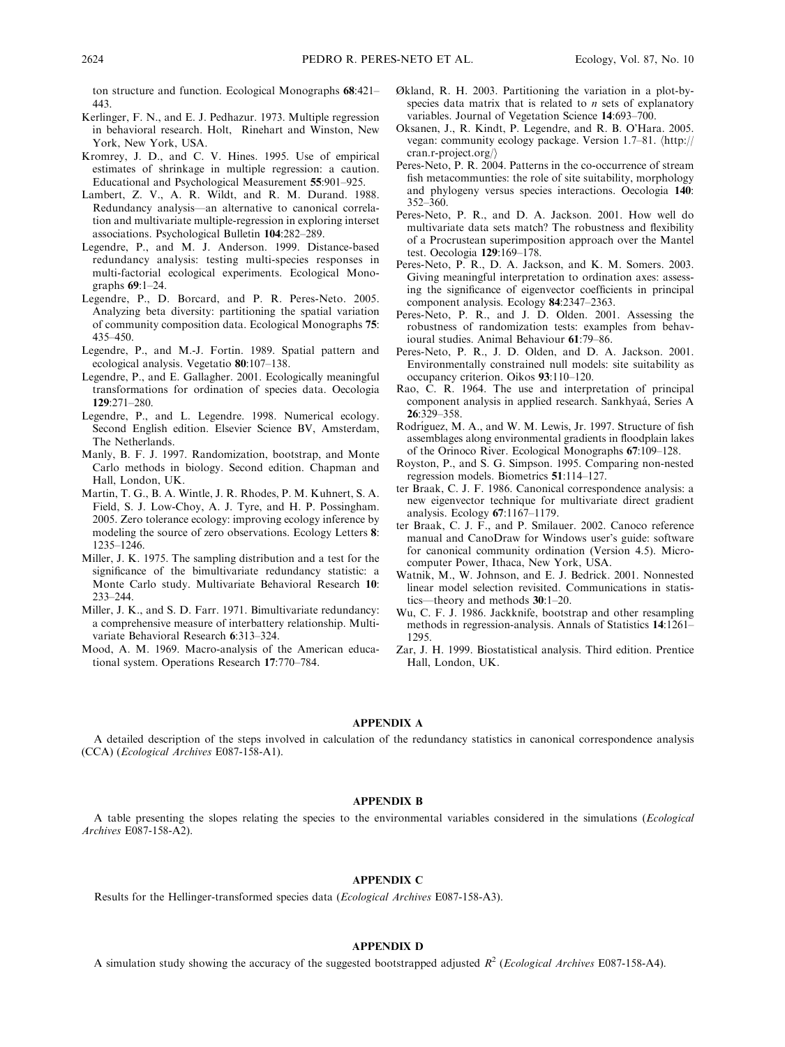ton structure and function. Ecological Monographs 68:421– 443.

- Kerlinger, F. N., and E. J. Pedhazur. 1973. Multiple regression in behavioral research. Holt, Rinehart and Winston, New York, New York, USA.
- Kromrey, J. D., and C. V. Hines. 1995. Use of empirical estimates of shrinkage in multiple regression: a caution. Educational and Psychological Measurement 55:901–925.
- Lambert, Z. V., A. R. Wildt, and R. M. Durand. 1988. Redundancy analysis—an alternative to canonical correlation and multivariate multiple-regression in exploring interset associations. Psychological Bulletin 104:282–289.
- Legendre, P., and M. J. Anderson. 1999. Distance-based redundancy analysis: testing multi-species responses in multi-factorial ecological experiments. Ecological Monographs 69:1–24.
- Legendre, P., D. Borcard, and P. R. Peres-Neto. 2005. Analyzing beta diversity: partitioning the spatial variation of community composition data. Ecological Monographs 75: 435–450.
- Legendre, P., and M.-J. Fortin. 1989. Spatial pattern and ecological analysis. Vegetatio 80:107–138.
- Legendre, P., and E. Gallagher. 2001. Ecologically meaningful transformations for ordination of species data. Oecologia 129:271–280.
- Legendre, P., and L. Legendre. 1998. Numerical ecology. Second English edition. Elsevier Science BV, Amsterdam, The Netherlands.
- Manly, B. F. J. 1997. Randomization, bootstrap, and Monte Carlo methods in biology. Second edition. Chapman and Hall, London, UK.
- Martin, T. G., B. A. Wintle, J. R. Rhodes, P. M. Kuhnert, S. A. Field, S. J. Low-Choy, A. J. Tyre, and H. P. Possingham. 2005. Zero tolerance ecology: improving ecology inference by modeling the source of zero observations. Ecology Letters 8: 1235–1246.
- Miller, J. K. 1975. The sampling distribution and a test for the significance of the bimultivariate redundancy statistic: a Monte Carlo study. Multivariate Behavioral Research 10: 233–244.
- Miller, J. K., and S. D. Farr. 1971. Bimultivariate redundancy: a comprehensive measure of interbattery relationship. Multivariate Behavioral Research 6:313–324.
- Mood, A. M. 1969. Macro-analysis of the American educational system. Operations Research 17:770–784.
- Økland, R. H. 2003. Partitioning the variation in a plot-byspecies data matrix that is related to  $n$  sets of explanatory variables. Journal of Vegetation Science 14:693–700.
- Oksanen, J., R. Kindt, P. Legendre, and R. B. O'Hara. 2005. vegan: community ecology package. Version 1.7-81.  $\langle$ http:// cran.r-project.org/ $\rangle$
- Peres-Neto, P. R. 2004. Patterns in the co-occurrence of stream fish metacommunties: the role of site suitability, morphology and phylogeny versus species interactions. Oecologia 140:  $352 - 360$ .
- Peres-Neto, P. R., and D. A. Jackson. 2001. How well do multivariate data sets match? The robustness and flexibility of a Procrustean superimposition approach over the Mantel test. Oecologia 129:169–178.
- Peres-Neto, P. R., D. A. Jackson, and K. M. Somers. 2003. Giving meaningful interpretation to ordination axes: assessing the significance of eigenvector coefficients in principal component analysis. Ecology 84:2347–2363.
- Peres-Neto, P. R., and J. D. Olden. 2001. Assessing the robustness of randomization tests: examples from behavioural studies. Animal Behaviour 61:79–86.
- Peres-Neto, P. R., J. D. Olden, and D. A. Jackson. 2001. Environmentally constrained null models: site suitability as occupancy criterion. Oikos 93:110–120.
- Rao, C. R. 1964. The use and interpretation of principal component analysis in applied research. Sankhyaá, Series A 26:329–358.
- Rodríguez, M. A., and W. M. Lewis, Jr. 1997. Structure of fish assemblages along environmental gradients in floodplain lakes of the Orinoco River. Ecological Monographs 67:109–128.
- Royston, P., and S. G. Simpson. 1995. Comparing non-nested regression models. Biometrics 51:114–127.
- ter Braak, C. J. F. 1986. Canonical correspondence analysis: a new eigenvector technique for multivariate direct gradient analysis. Ecology 67:1167–1179.
- ter Braak, C. J. F., and P. Smilauer. 2002. Canoco reference manual and CanoDraw for Windows user's guide: software for canonical community ordination (Version 4.5). Microcomputer Power, Ithaca, New York, USA.
- Watnik, M., W. Johnson, and E. J. Bedrick. 2001. Nonnested linear model selection revisited. Communications in statistics—theory and methods 30:1–20.
- Wu, C. F. J. 1986. Jackknife, bootstrap and other resampling methods in regression-analysis. Annals of Statistics 14:1261– 1295.
- Zar, J. H. 1999. Biostatistical analysis. Third edition. Prentice Hall, London, UK.

#### APPENDIX A

A detailed description of the steps involved in calculation of the redundancy statistics in canonical correspondence analysis (CCA) (Ecological Archives E087-158-A1).

#### APPENDIX B

A table presenting the slopes relating the species to the environmental variables considered in the simulations (Ecological Archives E087-158-A2).

### APPENDIX C

Results for the Hellinger-transformed species data (Ecological Archives E087-158-A3).

#### APPENDIX D

A simulation study showing the accuracy of the suggested bootstrapped adjusted  $R^2$  (Ecological Archives E087-158-A4).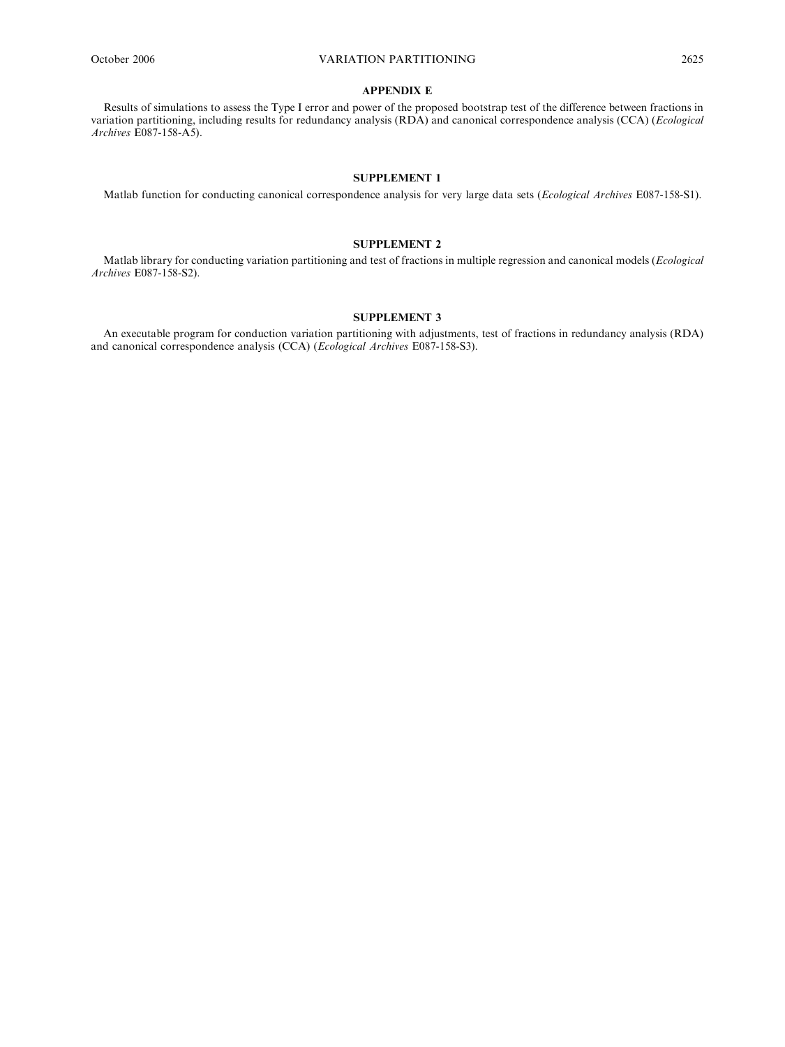#### APPENDIX E

Results of simulations to assess the Type I error and power of the proposed bootstrap test of the difference between fractions in variation partitioning, including results for redundancy analysis (RDA) and canonical correspondence analysis (CCA) (Ecological Archives E087-158-A5).

#### SUPPLEMENT 1

Matlab function for conducting canonical correspondence analysis for very large data sets (Ecological Archives E087-158-S1).

#### SUPPLEMENT 2

Matlab library for conducting variation partitioning and test of fractions in multiple regression and canonical models (Ecological Archives E087-158-S2).

### SUPPLEMENT 3

An executable program for conduction variation partitioning with adjustments, test of fractions in redundancy analysis (RDA) and canonical correspondence analysis (CCA) (Ecological Archives E087-158-S3).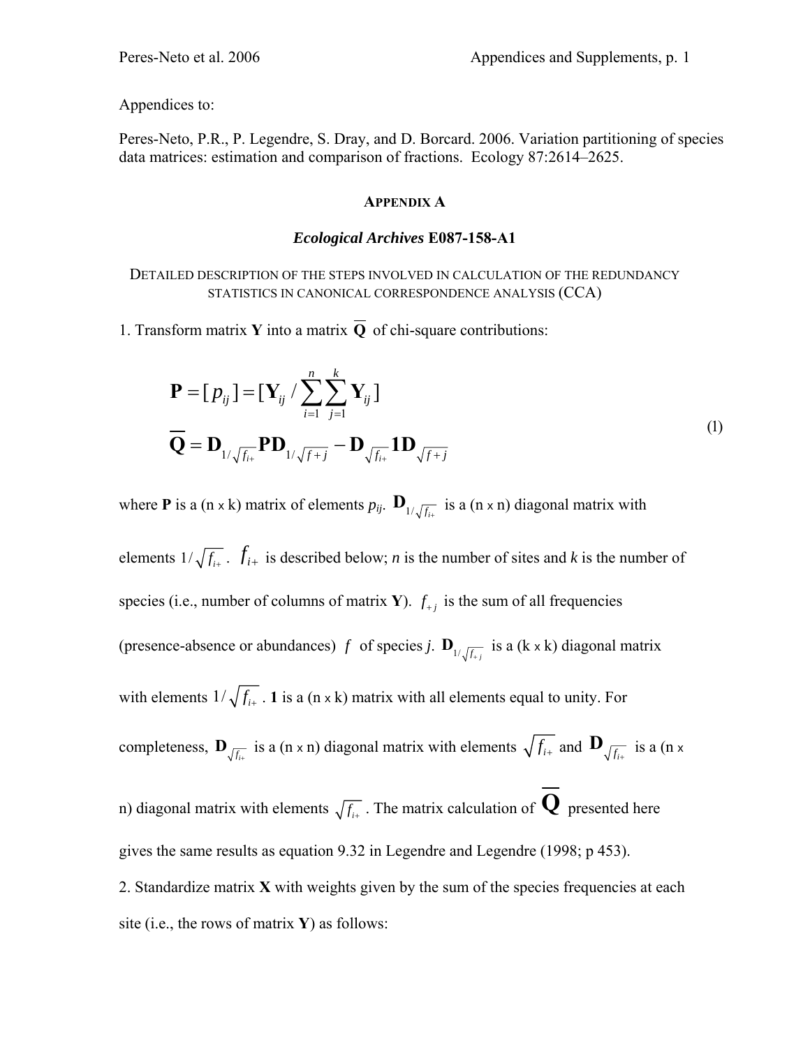Appendices to:

Peres-Neto, P.R., P. Legendre, S. Dray, and D. Borcard. 2006. Variation partitioning of species data matrices: estimation and comparison of fractions. Ecology 87:2614–2625.

## **APPENDIX A**

## *Ecological Archives* **E087-158-A1**

DETAILED DESCRIPTION OF THE STEPS INVOLVED IN CALCULATION OF THE REDUNDANCY STATISTICS IN CANONICAL CORRESPONDENCE ANALYSIS (CCA)

1. Transform matrix **Y** into a matrix  $\overline{O}$  of chi-square contributions:

$$
\mathbf{P} = [p_{ij}] = [\mathbf{Y}_{ij} / \sum_{i=1}^{n} \sum_{j=1}^{k} \mathbf{Y}_{ij}]
$$
  
\n
$$
\overline{\mathbf{Q}} = \mathbf{D}_{1/\sqrt{f_{i+}}} \mathbf{P} \mathbf{D}_{1/\sqrt{f+j}} - \mathbf{D}_{\sqrt{f_{i+}}} \mathbf{1} \mathbf{D}_{\sqrt{f+j}}
$$
\n(1)

where **P** is a (n x k) matrix of elements  $p_{ij}$ .  $\mathbf{D}_{1/\sqrt{f_{ii}}}$  is a (n x n) diagonal matrix with

elements  $1/\sqrt{f_{i+}}$ .  $f_{i+}$  is described below; *n* is the number of sites and *k* is the number of species (i.e., number of columns of matrix **Y**).  $f_{+i}$  is the sum of all frequencies (presence-absence or abundances) *f* of species *j*.  $\mathbf{D}_{1/\sqrt{f_{+j}}}$  is a (k x k) diagonal matrix with elements  $1/\sqrt{f_{i+}}$ . **1** is a (n x k) matrix with all elements equal to unity. For completeness,  $\mathbf{D}_{\sqrt{f_{i+}}}$  is a (n x n) diagonal matrix with elements  $\sqrt{f_{i+}}$  and  $\mathbf{D}_{\sqrt{f_{i+}}}$  is a (n x n) diagonal matrix with elements  $\sqrt{f_{i+}}$ . The matrix calculation of **Q** presented here gives the same results as equation 9.32 in Legendre and Legendre (1998; p 453). 2. Standardize matrix **X** with weights given by the sum of the species frequencies at each site (i.e., the rows of matrix **Y**) as follows: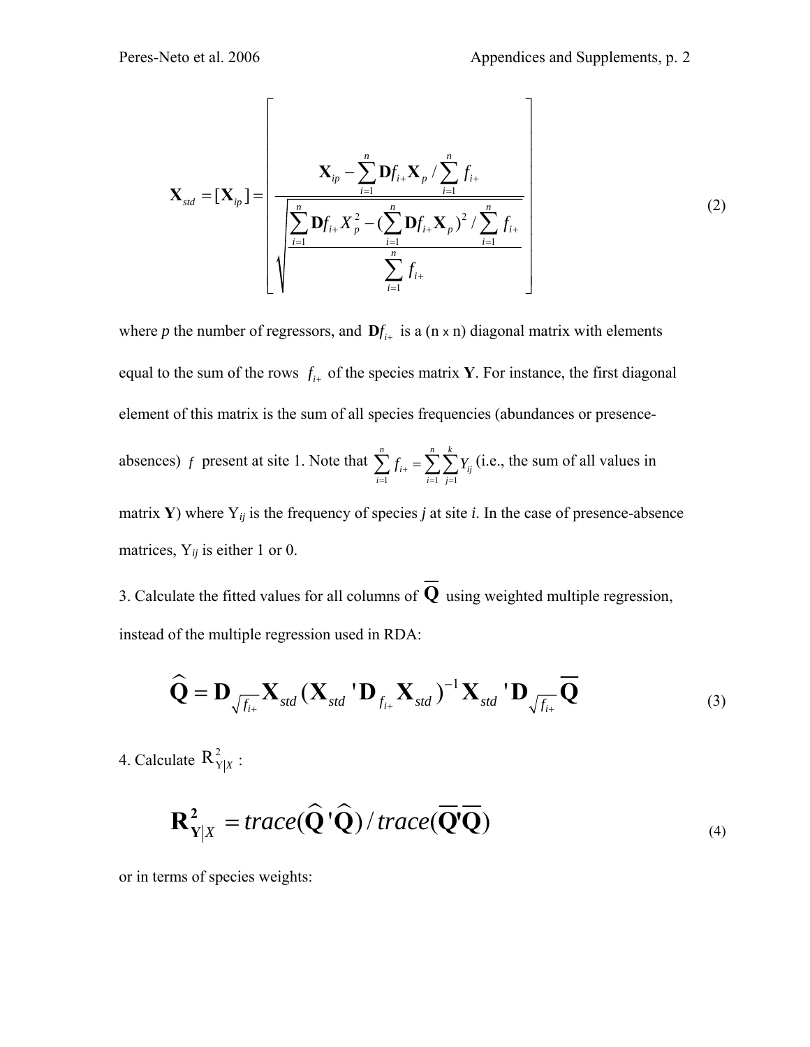$$
\mathbf{X}_{std} = [\mathbf{X}_{ip}] = \left[ \frac{\mathbf{X}_{ip} - \sum_{i=1}^{n} \mathbf{D} f_{i+} \mathbf{X}_{p} / \sum_{i=1}^{n} f_{i+}}{\sqrt{\sum_{i=1}^{n} \mathbf{D} f_{i+} \mathbf{X}_{p}^{2} - (\sum_{i=1}^{n} \mathbf{D} f_{i+} \mathbf{X}_{p})^{2} / \sum_{i=1}^{n} f_{i+}} \right]
$$
(2)

where *p* the number of regressors, and  $\mathbf{D} f_{i+}$  is a (n x n) diagonal matrix with elements equal to the sum of the rows  $f_{i+}$  of the species matrix **Y**. For instance, the first diagonal element of this matrix is the sum of all species frequencies (abundances or presenceabsences) *f* present at site 1. Note that  $i=1$   $j=1$ *n nk* i+  $^ \angle$   $\angle$   $\perp$   $\!$  ij  $i=1$   $i=1$   $j$  $f_{i+} = \sum \sum Y_i$  $\sum_{i=1} f_{i+} = \sum_{i=1} \sum_{j=1} Y_{ij}$  (i.e., the sum of all values in matrix **Y**) where  $Y_{ij}$  is the frequency of species *j* at site *i*. In the case of presence-absence matrices,  $Y_{ij}$  is either 1 or 0.

3. Calculate the fitted values for all columns of  $\overline{Q}$  using weighted multiple regression, instead of the multiple regression used in RDA:

$$
\widehat{\mathbf{Q}} = \mathbf{D}_{\sqrt{f_{i+}}} \mathbf{X}_{std} (\mathbf{X}_{std} \mathbf{U}_{f_{i+}} \mathbf{X}_{std})^{-1} \mathbf{X}_{std} \mathbf{U}_{\sqrt{f_{i+}}} \overline{\mathbf{Q}}
$$
(3)

4. Calculate  $R_{Y|X}^2$  :

$$
\mathbf{R}_{\mathbf{Y}|X}^2 = trace(\widehat{\mathbf{Q}}^{\dagger}\widehat{\mathbf{Q}}) / trace(\overline{\mathbf{Q}}^{\dagger}\overline{\mathbf{Q}})
$$
\n(4)

or in terms of species weights: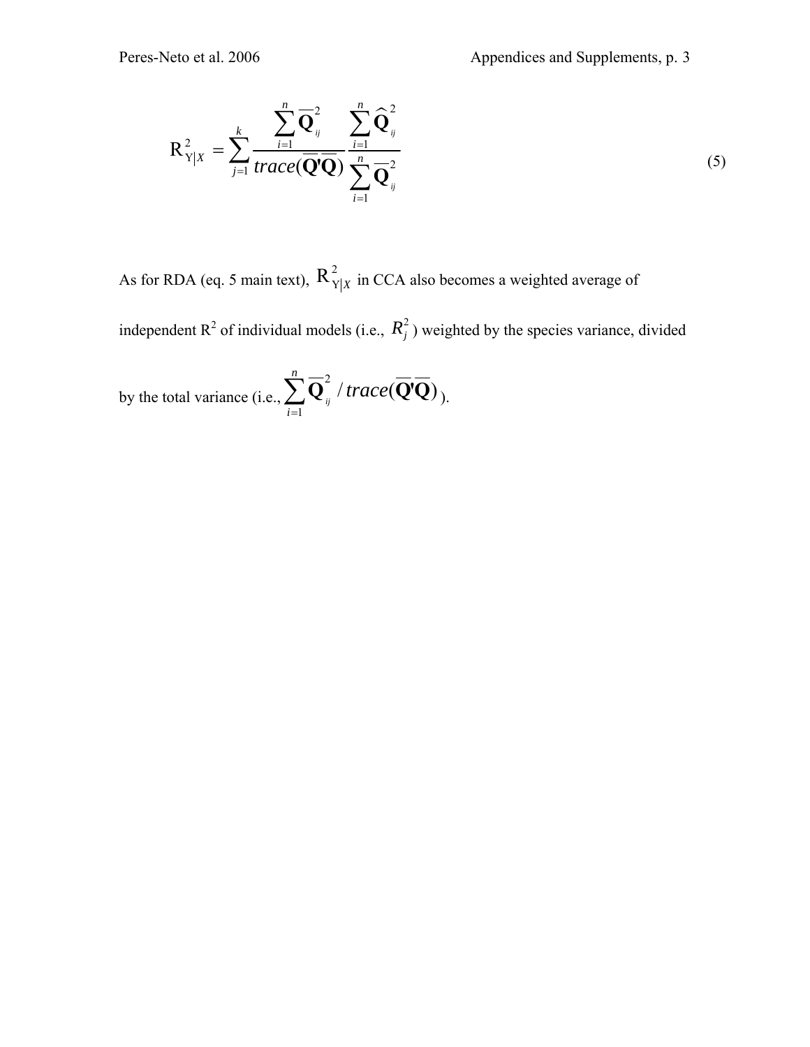$$
R_{Y|X}^{2} = \sum_{j=1}^{k} \frac{\sum_{i=1}^{n} \overline{Q}_{ij}^{2}}{trace(\overline{Q}^{i}\overline{Q})} \frac{\sum_{i=1}^{n} \widehat{Q}_{ij}^{2}}{\sum_{i=1}^{n} \overline{Q}_{ij}^{2}}
$$
(5)

As for RDA (eq. 5 main text),  $R_{Y|X}^2$  in CCA also becomes a weighted average of

independent  $R^2$  of individual models (i.e.,  $R_j^2$ ) weighted by the species variance, divided

by the total variance (i.e., 2 1  $\mathbf{Q}_{ij}^{\text{z}}$  / trace( $\mathbf{Q}^{\prime}\mathbf{Q}$ ) *n i trace* =  $\sum \overline{\mathbf{Q}}_y^2$  / trace( $\overline{\mathbf{Q}}$ ' $\overline{\mathbf{Q}}$ )<sub>).</sub>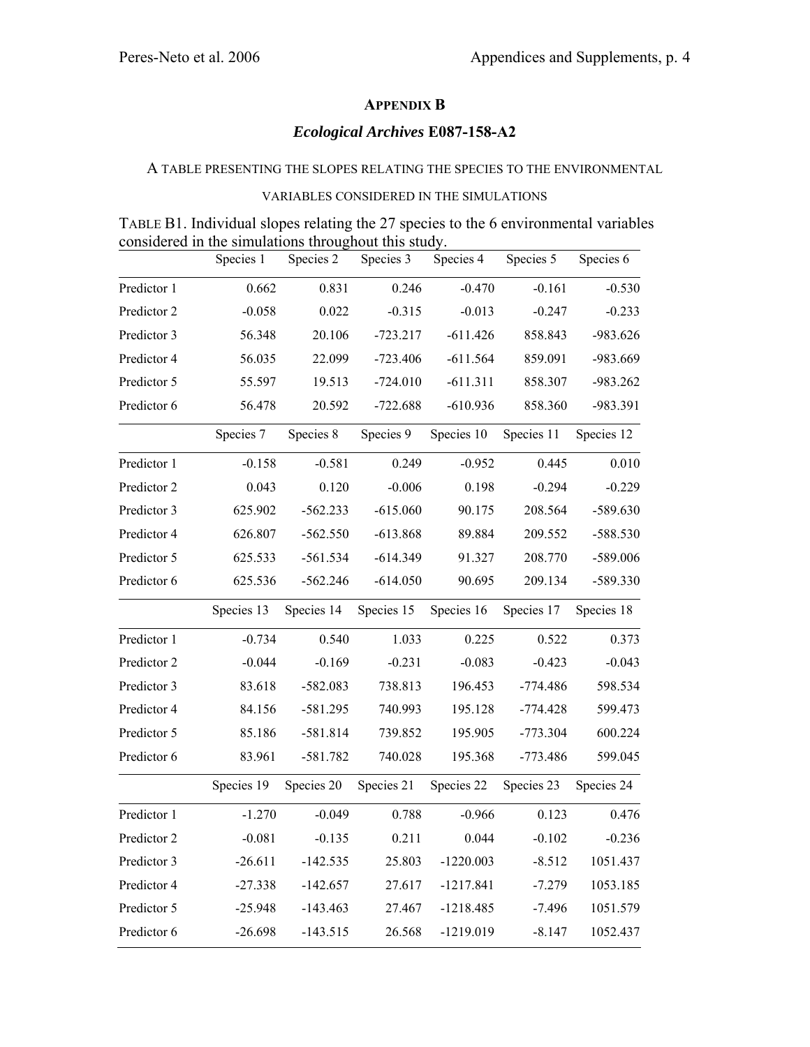# **APPENDIX B**

## *Ecological Archives* **E087-158-A2**

## A TABLE PRESENTING THE SLOPES RELATING THE SPECIES TO THE ENVIRONMENTAL

## VARIABLES CONSIDERED IN THE SIMULATIONS

|  |                                                      |  | TABLE B1. Individual slopes relating the 27 species to the 6 environmental variables |  |
|--|------------------------------------------------------|--|--------------------------------------------------------------------------------------|--|
|  | considered in the simulations throughout this study. |  |                                                                                      |  |

|             | Species 1  | Species 2  | Species 3  | Species 4   | Species 5  | Species 6  |
|-------------|------------|------------|------------|-------------|------------|------------|
| Predictor 1 | 0.662      | 0.831      | 0.246      | $-0.470$    | $-0.161$   | $-0.530$   |
| Predictor 2 | $-0.058$   | 0.022      | $-0.315$   | $-0.013$    | $-0.247$   | $-0.233$   |
| Predictor 3 | 56.348     | 20.106     | $-723.217$ | $-611.426$  | 858.843    | $-983.626$ |
| Predictor 4 | 56.035     | 22.099     | $-723.406$ | $-611.564$  | 859.091    | -983.669   |
| Predictor 5 | 55.597     | 19.513     | $-724.010$ | $-611.311$  | 858.307    | -983.262   |
| Predictor 6 | 56.478     | 20.592     | $-722.688$ | $-610.936$  | 858.360    | -983.391   |
|             | Species 7  | Species 8  | Species 9  | Species 10  | Species 11 | Species 12 |
| Predictor 1 | $-0.158$   | $-0.581$   | 0.249      | $-0.952$    | 0.445      | 0.010      |
| Predictor 2 | 0.043      | 0.120      | $-0.006$   | 0.198       | $-0.294$   | $-0.229$   |
| Predictor 3 | 625.902    | $-562.233$ | $-615.060$ | 90.175      | 208.564    | $-589.630$ |
| Predictor 4 | 626.807    | $-562.550$ | $-613.868$ | 89.884      | 209.552    | -588.530   |
| Predictor 5 | 625.533    | $-561.534$ | $-614.349$ | 91.327      | 208.770    | -589.006   |
| Predictor 6 | 625.536    | $-562.246$ | $-614.050$ | 90.695      | 209.134    | -589.330   |
|             | Species 13 | Species 14 | Species 15 | Species 16  | Species 17 | Species 18 |
| Predictor 1 | $-0.734$   | 0.540      | 1.033      | 0.225       | 0.522      | 0.373      |
| Predictor 2 | $-0.044$   | $-0.169$   | $-0.231$   | $-0.083$    | $-0.423$   | $-0.043$   |
| Predictor 3 | 83.618     | $-582.083$ | 738.813    | 196.453     | $-774.486$ | 598.534    |
| Predictor 4 | 84.156     | $-581.295$ | 740.993    | 195.128     | $-774.428$ | 599.473    |
| Predictor 5 | 85.186     | $-581.814$ | 739.852    | 195.905     | $-773.304$ | 600.224    |
| Predictor 6 | 83.961     | $-581.782$ | 740.028    | 195.368     | $-773.486$ | 599.045    |
|             | Species 19 | Species 20 | Species 21 | Species 22  | Species 23 | Species 24 |
| Predictor 1 | $-1.270$   | $-0.049$   | 0.788      | $-0.966$    | 0.123      | 0.476      |
| Predictor 2 | $-0.081$   | $-0.135$   | 0.211      | 0.044       | $-0.102$   | $-0.236$   |
| Predictor 3 | $-26.611$  | $-142.535$ | 25.803     | $-1220.003$ | $-8.512$   | 1051.437   |
| Predictor 4 | $-27.338$  | $-142.657$ | 27.617     | $-1217.841$ | $-7.279$   | 1053.185   |
| Predictor 5 | $-25.948$  | $-143.463$ | 27.467     | $-1218.485$ | $-7.496$   | 1051.579   |
| Predictor 6 | $-26.698$  | $-143.515$ | 26.568     | $-1219.019$ | $-8.147$   | 1052.437   |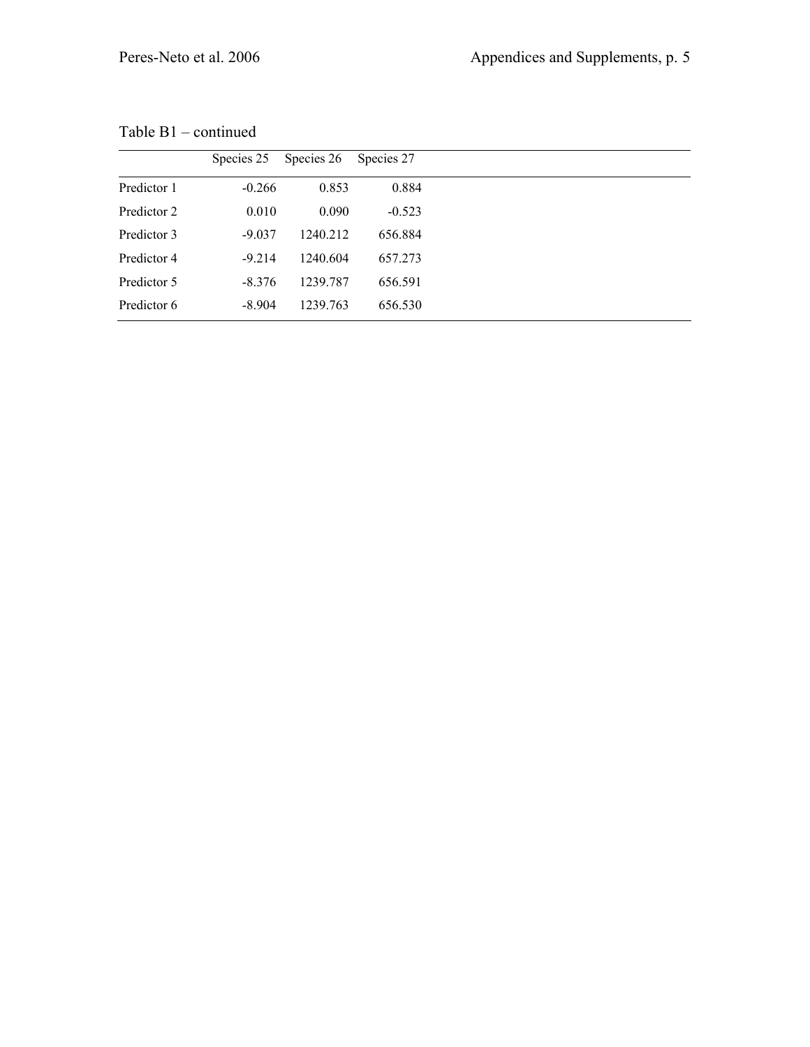|             | Species 25 | Species 26 | Species 27 |
|-------------|------------|------------|------------|
| Predictor 1 | $-0.266$   | 0.853      | 0.884      |
| Predictor 2 | 0.010      | 0.090      | $-0.523$   |
| Predictor 3 | $-9.037$   | 1240.212   | 656.884    |
| Predictor 4 | $-9.214$   | 1240.604   | 657.273    |
| Predictor 5 | $-8.376$   | 1239.787   | 656.591    |
| Predictor 6 | $-8.904$   | 1239.763   | 656.530    |
|             |            |            |            |

Table B1 – continued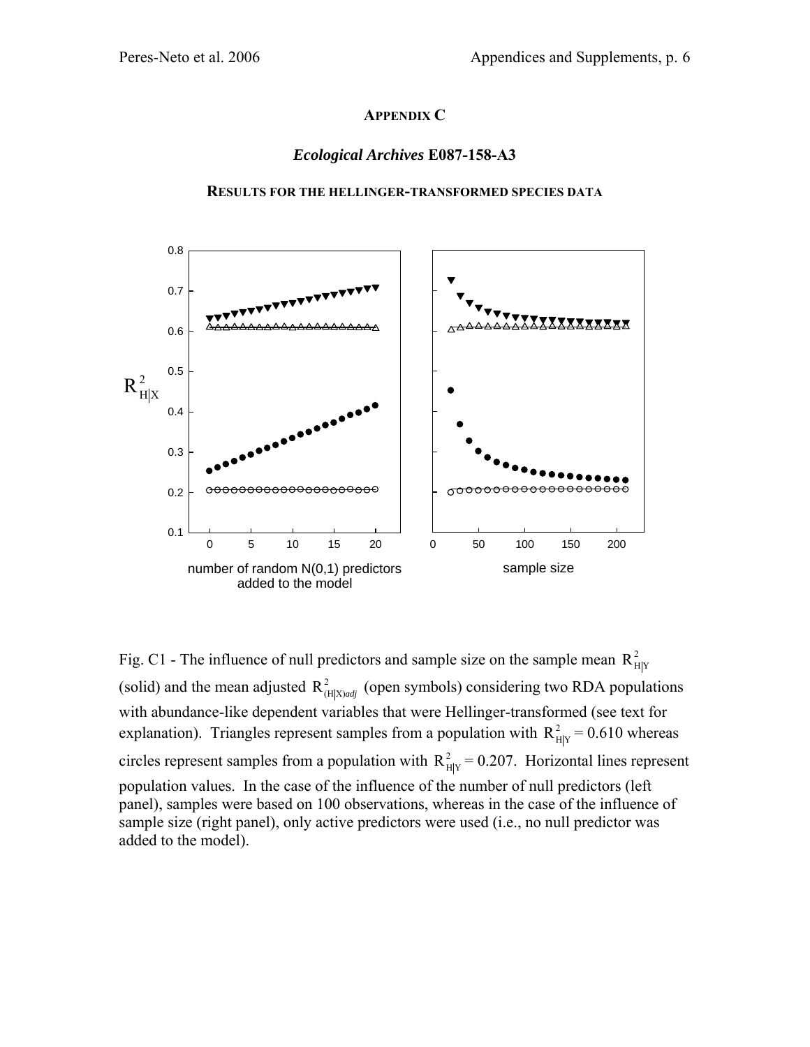## **APPENDIX C**

## *Ecological Archives* **E087-158-A3**



### **RESULTS FOR THE HELLINGER-TRANSFORMED SPECIES DATA**

Fig. C1 - The influence of null predictors and sample size on the sample mean  $R_{H|Y}^2$ (solid) and the mean adjusted  $R_{(H|X)adj}^2$  (open symbols) considering two RDA populations with abundance-like dependent variables that were Hellinger-transformed (see text for explanation). Triangles represent samples from a population with  $R_{HIY}^2 = 0.610$  whereas circles represent samples from a population with  $R_{Hly}^2 = 0.207$ . Horizontal lines represent population values. In the case of the influence of the number of null predictors (left panel), samples were based on 100 observations, whereas in the case of the influence of sample size (right panel), only active predictors were used (i.e., no null predictor was added to the model).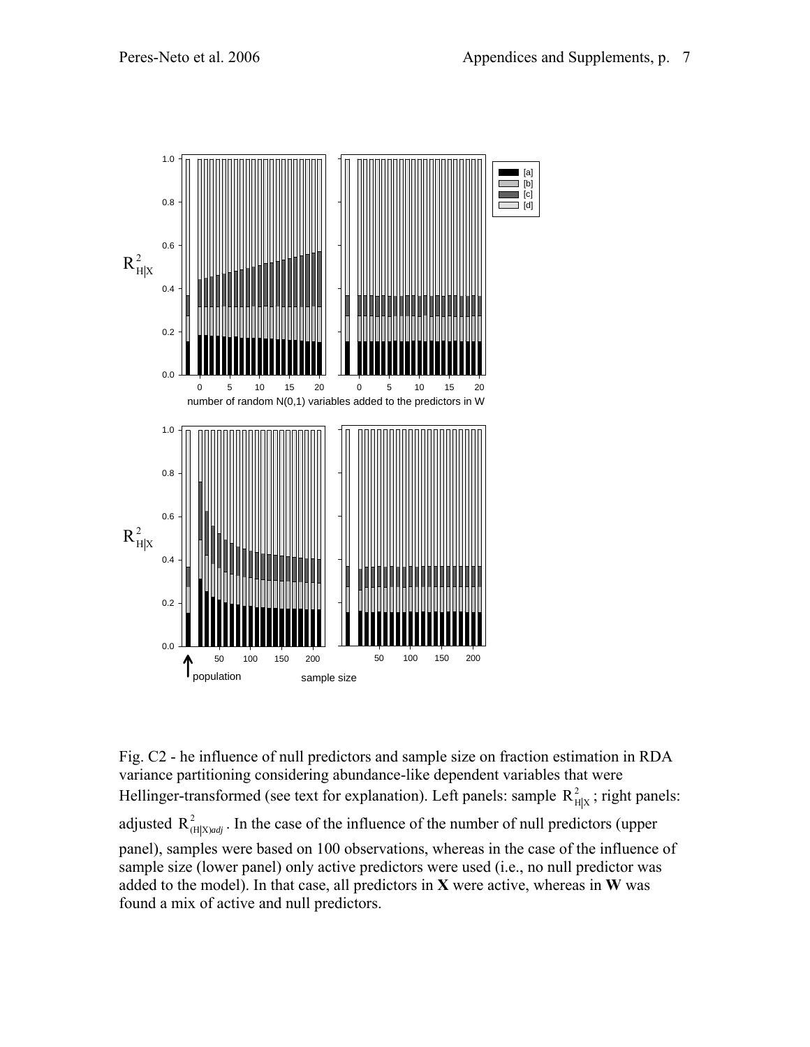

Fig. C2 - he influence of null predictors and sample size on fraction estimation in RDA variance partitioning considering abundance-like dependent variables that were Hellinger-transformed (see text for explanation). Left panels: sample  $R_{H|x}^2$ ; right panels: adjusted  $R^2_{(H|X)adj}$ . In the case of the influence of the number of null predictors (upper panel), samples were based on 100 observations, whereas in the case of the influence of sample size (lower panel) only active predictors were used (i.e., no null predictor was added to the model). In that case, all predictors in **X** were active, whereas in **W** was found a mix of active and null predictors.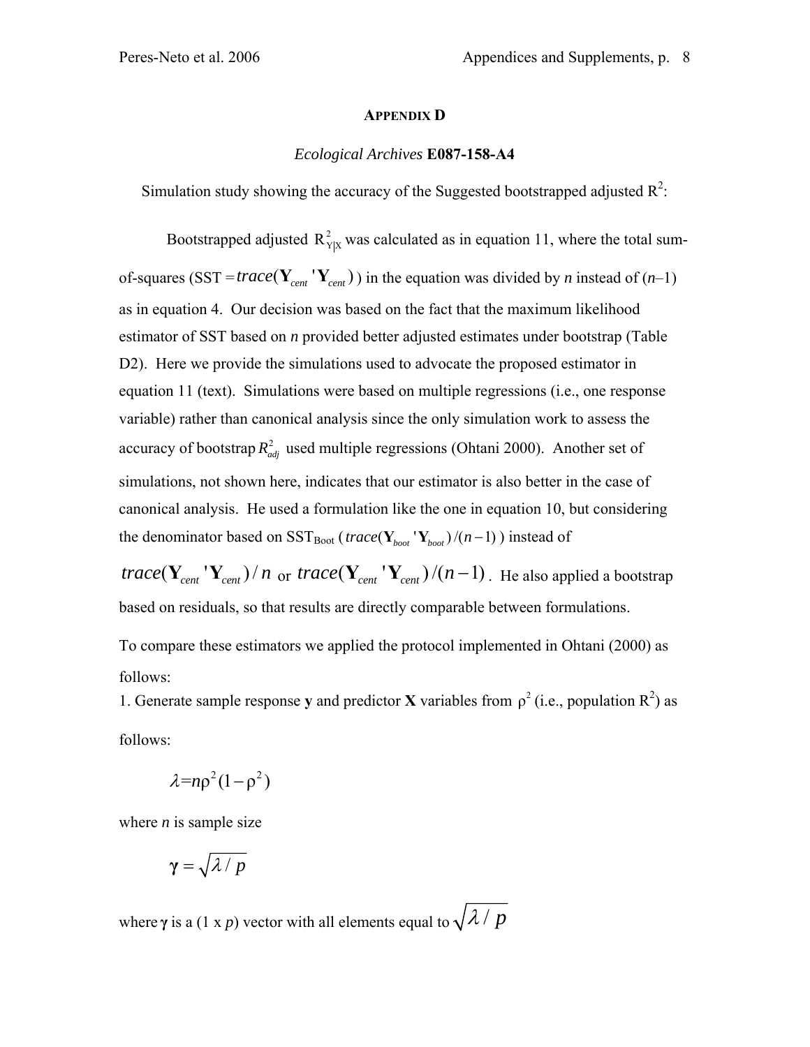### **APPENDIX D**

## *Ecological Archives* **E087-158-A4**

Simulation study showing the accuracy of the Suggested bootstrapped adjusted  $R^2$ :

Bootstrapped adjusted  $R_{Y|X}^2$  was calculated as in equation 11, where the total sumof-squares (SST = *trace* ( $Y_{cent}$  ' $Y_{cent}$ )) in the equation was divided by *n* instead of (*n*-1) as in equation 4. Our decision was based on the fact that the maximum likelihood estimator of SST based on *n* provided better adjusted estimates under bootstrap (Table D2). Here we provide the simulations used to advocate the proposed estimator in equation 11 (text). Simulations were based on multiple regressions (i.e., one response variable) rather than canonical analysis since the only simulation work to assess the accuracy of bootstrap  $R_{adj}^2$  used multiple regressions (Ohtani 2000). Another set of simulations, not shown here, indicates that our estimator is also better in the case of canonical analysis. He used a formulation like the one in equation 10, but considering the denominator based on SST<sub>Boot</sub> (*trace*( $Y_{\text{host}}' Y_{\text{host}}$ )/(n-1)) instead of  $trace(Y_{cent} | Y_{cent})/n$  or  $trace(Y_{cent} | Y_{cent})/(n-1)$ . He also applied a bootstrap based on residuals, so that results are directly comparable between formulations. To compare these estimators we applied the protocol implemented in Ohtani (2000) as follows:

1. Generate sample response y and predictor **X** variables from  $\rho^2$  (i.e., population  $R^2$ ) as follows:

$$
\lambda \text{=} n \rho^2 (1 - \rho^2)
$$

where  $n$  is sample size

$$
\gamma = \sqrt{\lambda / p}
$$

where  $\gamma$  is a (1 x *p*) vector with all elements equal to  $\sqrt{\lambda}/p$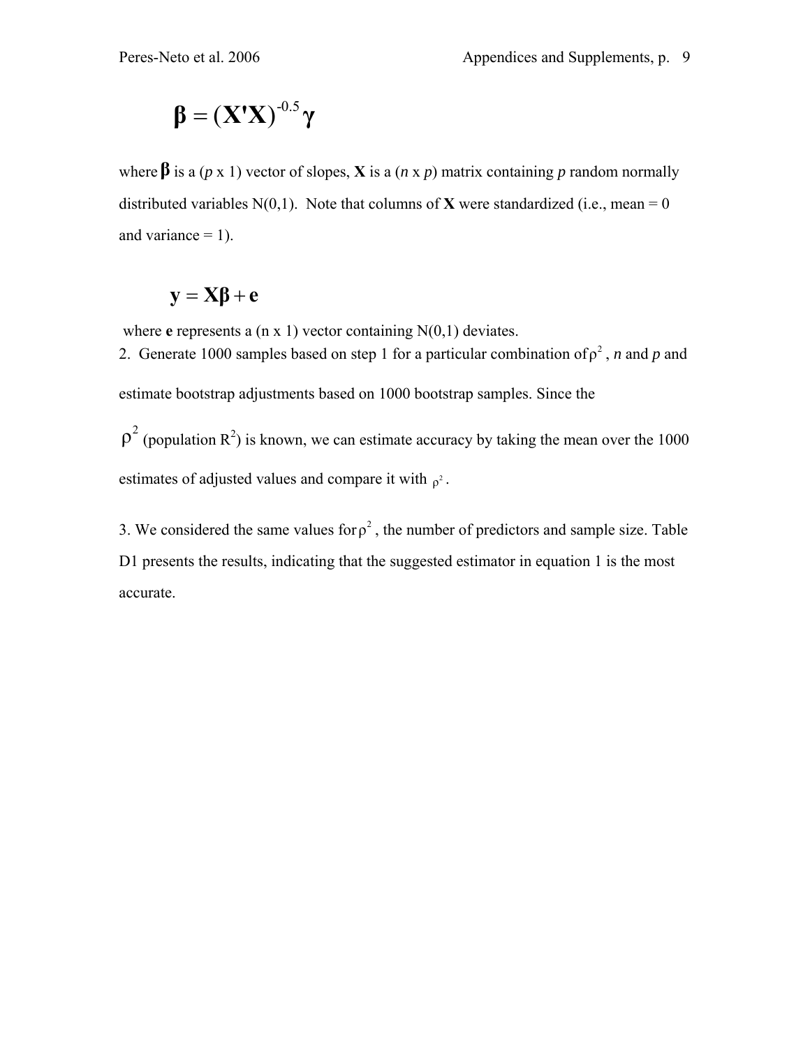$$
\boldsymbol{\beta} = (\mathbf{X'X})^{-0.5} \boldsymbol{\gamma}
$$

where  $\beta$  is a (*p* x 1) vector of slopes, **X** is a (*n* x *p*) matrix containing *p* random normally distributed variables  $N(0,1)$ . Note that columns of **X** were standardized (i.e., mean = 0 and variance  $= 1$ ).

$$
y = X\beta + e
$$

where **e** represents a (n x 1) vector containing N(0,1) deviates.

2. Generate 1000 samples based on step 1 for a particular combination of  $\rho^2$ , *n* and *p* and estimate bootstrap adjustments based on 1000 bootstrap samples. Since the

 $p^2$  (population R<sup>2</sup>) is known, we can estimate accuracy by taking the mean over the 1000 estimates of adjusted values and compare it with  $\rho^2$ .

3. We considered the same values for  $\rho^2$ , the number of predictors and sample size. Table D1 presents the results, indicating that the suggested estimator in equation 1 is the most accurate.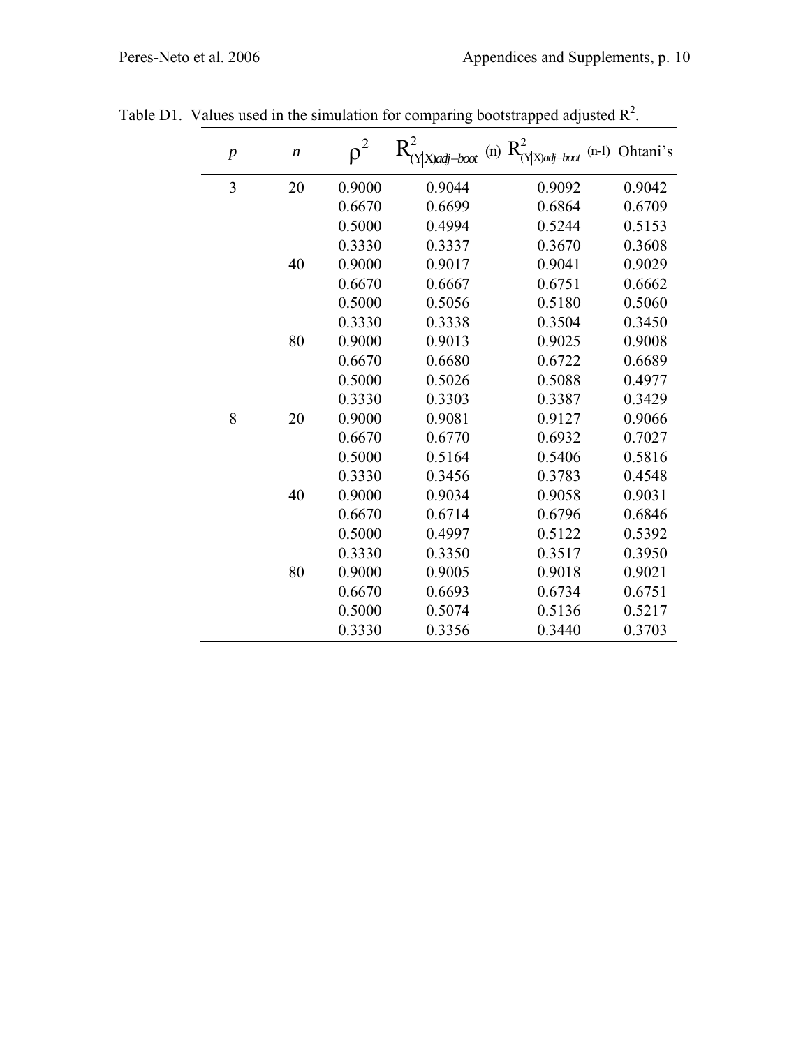| $\boldsymbol{p}$ | $\boldsymbol{n}$ | $\rho^2$ | $Y X$ )adj-boot | (n) $R^2$<br>$(Y X)$ adj-boot | (n-1) Ohtani's |
|------------------|------------------|----------|-----------------|-------------------------------|----------------|
| $\overline{3}$   | 20               | 0.9000   | 0.9044          | 0.9092                        | 0.9042         |
|                  |                  | 0.6670   | 0.6699          | 0.6864                        | 0.6709         |
|                  |                  | 0.5000   | 0.4994          | 0.5244                        | 0.5153         |
|                  |                  | 0.3330   | 0.3337          | 0.3670                        | 0.3608         |
|                  | 40               | 0.9000   | 0.9017          | 0.9041                        | 0.9029         |
|                  |                  | 0.6670   | 0.6667          | 0.6751                        | 0.6662         |
|                  |                  | 0.5000   | 0.5056          | 0.5180                        | 0.5060         |
|                  |                  | 0.3330   | 0.3338          | 0.3504                        | 0.3450         |
|                  | 80               | 0.9000   | 0.9013          | 0.9025                        | 0.9008         |
|                  |                  | 0.6670   | 0.6680          | 0.6722                        | 0.6689         |
|                  |                  | 0.5000   | 0.5026          | 0.5088                        | 0.4977         |
|                  |                  | 0.3330   | 0.3303          | 0.3387                        | 0.3429         |
| 8                | 20               | 0.9000   | 0.9081          | 0.9127                        | 0.9066         |
|                  |                  | 0.6670   | 0.6770          | 0.6932                        | 0.7027         |
|                  |                  | 0.5000   | 0.5164          | 0.5406                        | 0.5816         |
|                  |                  | 0.3330   | 0.3456          | 0.3783                        | 0.4548         |
|                  | 40               | 0.9000   | 0.9034          | 0.9058                        | 0.9031         |
|                  |                  | 0.6670   | 0.6714          | 0.6796                        | 0.6846         |
|                  |                  | 0.5000   | 0.4997          | 0.5122                        | 0.5392         |
|                  |                  | 0.3330   | 0.3350          | 0.3517                        | 0.3950         |
|                  | 80               | 0.9000   | 0.9005          | 0.9018                        | 0.9021         |
|                  |                  | 0.6670   | 0.6693          | 0.6734                        | 0.6751         |
|                  |                  | 0.5000   | 0.5074          | 0.5136                        | 0.5217         |
|                  |                  | 0.3330   | 0.3356          | 0.3440                        | 0.3703         |

Table D1. Values used in the simulation for comparing bootstrapped adjusted  $\mathbb{R}^2$ .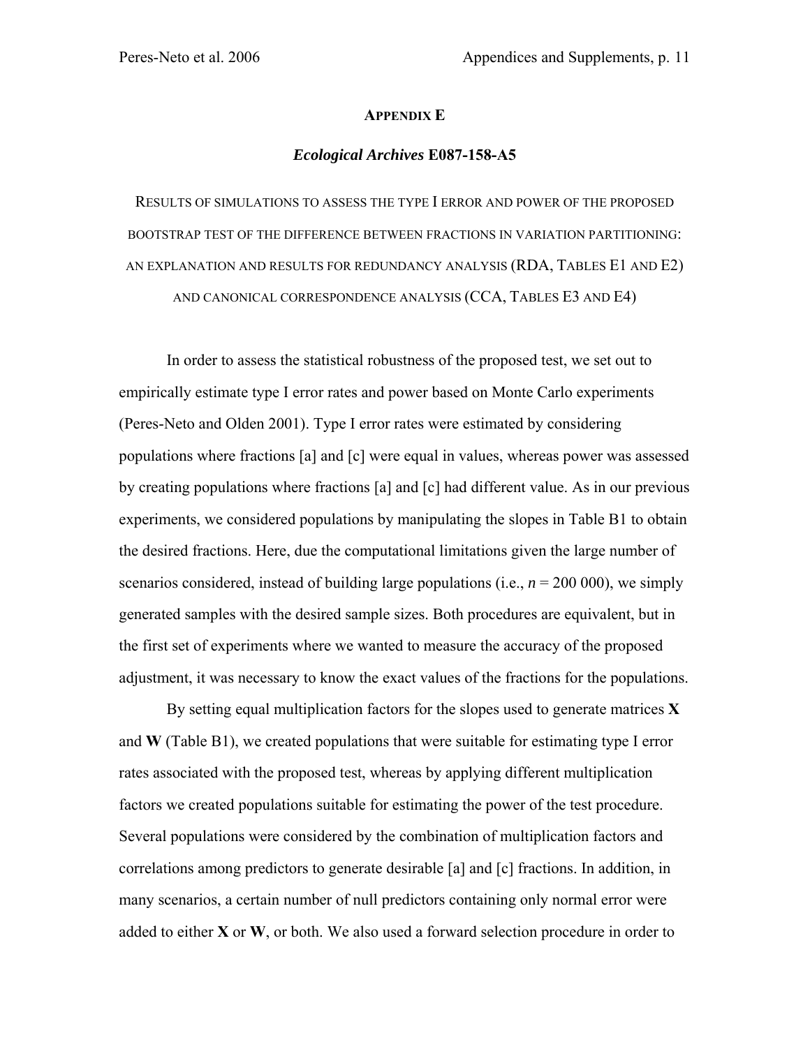### **APPENDIX E**

### *Ecological Archives* **E087-158-A5**

RESULTS OF SIMULATIONS TO ASSESS THE TYPE I ERROR AND POWER OF THE PROPOSED BOOTSTRAP TEST OF THE DIFFERENCE BETWEEN FRACTIONS IN VARIATION PARTITIONING: AN EXPLANATION AND RESULTS FOR REDUNDANCY ANALYSIS (RDA, TABLES E1 AND E2) AND CANONICAL CORRESPONDENCE ANALYSIS (CCA, TABLES E3 AND E4)

In order to assess the statistical robustness of the proposed test, we set out to empirically estimate type I error rates and power based on Monte Carlo experiments (Peres-Neto and Olden 2001). Type I error rates were estimated by considering populations where fractions [a] and [c] were equal in values, whereas power was assessed by creating populations where fractions [a] and [c] had different value. As in our previous experiments, we considered populations by manipulating the slopes in Table B1 to obtain the desired fractions. Here, due the computational limitations given the large number of scenarios considered, instead of building large populations (i.e.,  $n = 200000$ ), we simply generated samples with the desired sample sizes. Both procedures are equivalent, but in the first set of experiments where we wanted to measure the accuracy of the proposed adjustment, it was necessary to know the exact values of the fractions for the populations.

By setting equal multiplication factors for the slopes used to generate matrices **X** and **W** (Table B1), we created populations that were suitable for estimating type I error rates associated with the proposed test, whereas by applying different multiplication factors we created populations suitable for estimating the power of the test procedure. Several populations were considered by the combination of multiplication factors and correlations among predictors to generate desirable [a] and [c] fractions. In addition, in many scenarios, a certain number of null predictors containing only normal error were added to either **X** or **W**, or both. We also used a forward selection procedure in order to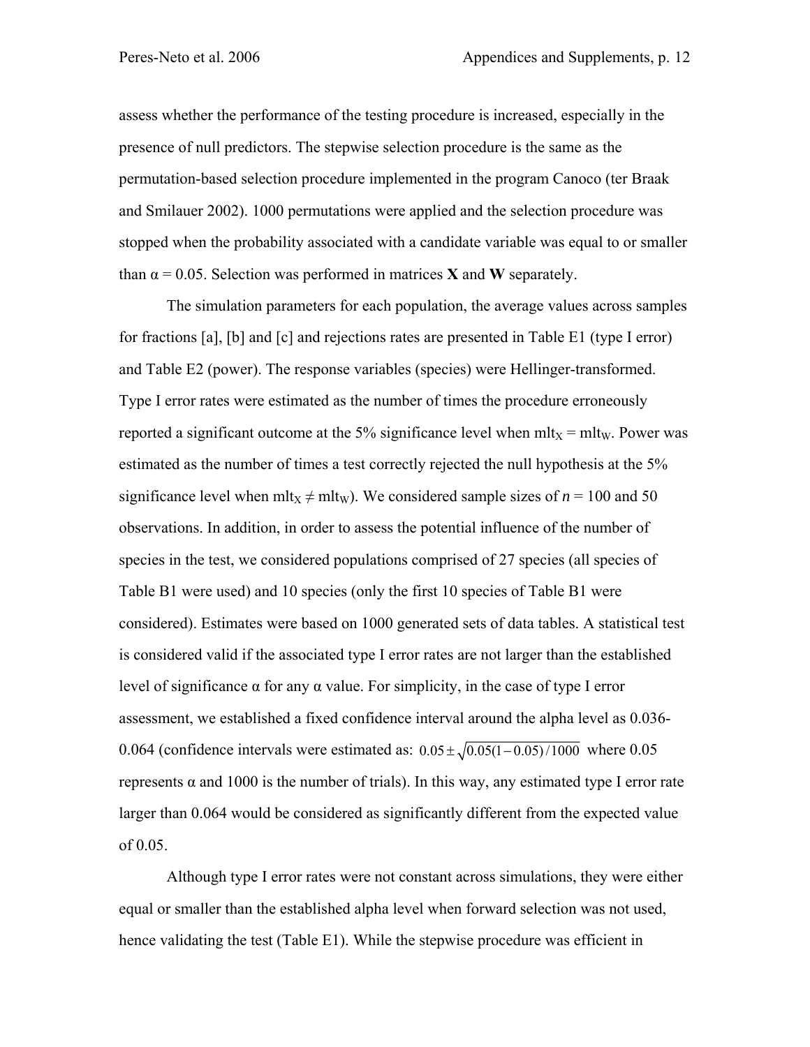assess whether the performance of the testing procedure is increased, especially in the presence of null predictors. The stepwise selection procedure is the same as the permutation-based selection procedure implemented in the program Canoco (ter Braak and Smilauer 2002). 1000 permutations were applied and the selection procedure was stopped when the probability associated with a candidate variable was equal to or smaller than  $\alpha = 0.05$ . Selection was performed in matrices **X** and **W** separately.

The simulation parameters for each population, the average values across samples for fractions [a], [b] and [c] and rejections rates are presented in Table E1 (type I error) and Table E2 (power). The response variables (species) were Hellinger-transformed. Type I error rates were estimated as the number of times the procedure erroneously reported a significant outcome at the 5% significance level when  $mltx = mltw$ . Power was estimated as the number of times a test correctly rejected the null hypothesis at the 5% significance level when mlt<sub>X</sub>  $\neq$  mlt<sub>W</sub>). We considered sample sizes of *n* = 100 and 50 observations. In addition, in order to assess the potential influence of the number of species in the test, we considered populations comprised of 27 species (all species of Table B1 were used) and 10 species (only the first 10 species of Table B1 were considered). Estimates were based on 1000 generated sets of data tables. A statistical test is considered valid if the associated type I error rates are not larger than the established level of significance α for any α value. For simplicity, in the case of type I error assessment, we established a fixed confidence interval around the alpha level as 0.036- 0.064 (confidence intervals were estimated as:  $0.05 \pm \sqrt{0.05(1 - 0.05)/1000}$  where 0.05 represents  $α$  and 1000 is the number of trials). In this way, any estimated type I error rate larger than 0.064 would be considered as significantly different from the expected value of 0.05.

Although type I error rates were not constant across simulations, they were either equal or smaller than the established alpha level when forward selection was not used, hence validating the test (Table E1). While the stepwise procedure was efficient in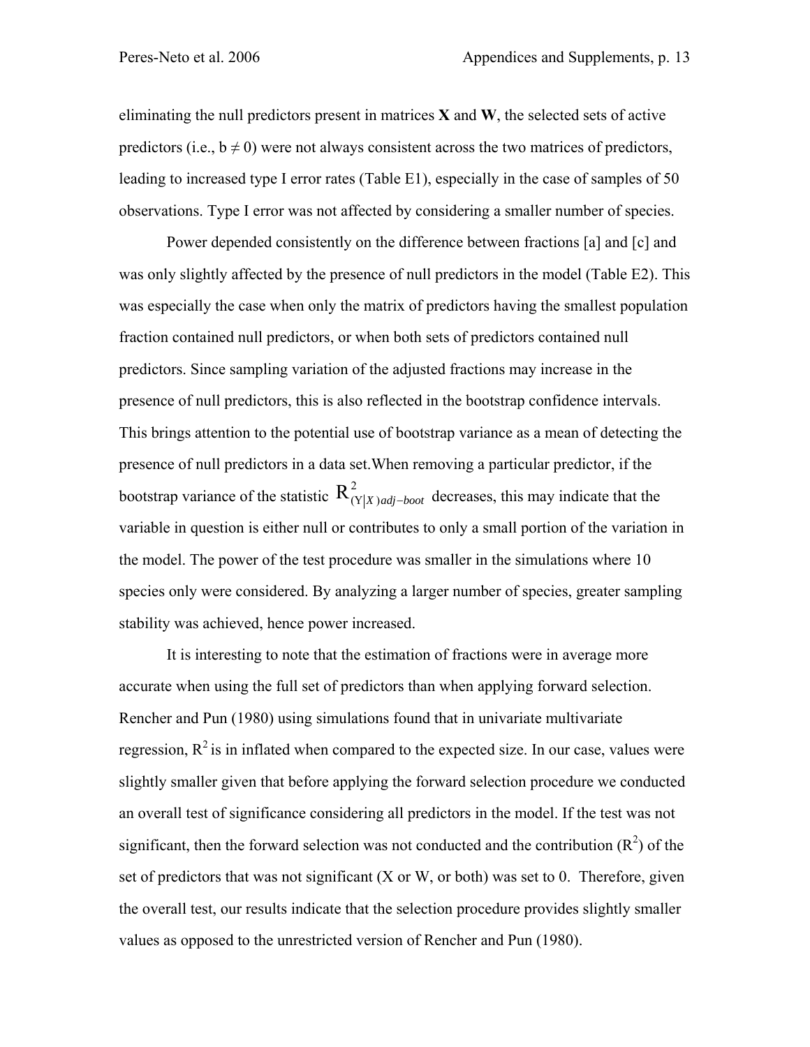eliminating the null predictors present in matrices **X** and **W**, the selected sets of active predictors (i.e.,  $b \neq 0$ ) were not always consistent across the two matrices of predictors, leading to increased type I error rates (Table E1), especially in the case of samples of 50 observations. Type I error was not affected by considering a smaller number of species.

Power depended consistently on the difference between fractions [a] and [c] and was only slightly affected by the presence of null predictors in the model (Table E2). This was especially the case when only the matrix of predictors having the smallest population fraction contained null predictors, or when both sets of predictors contained null predictors. Since sampling variation of the adjusted fractions may increase in the presence of null predictors, this is also reflected in the bootstrap confidence intervals. This brings attention to the potential use of bootstrap variance as a mean of detecting the presence of null predictors in a data set.When removing a particular predictor, if the bootstrap variance of the statistic  $R_{(Y|X)adj-boot}^2$  decreases, this may indicate that the variable in question is either null or contributes to only a small portion of the variation in the model. The power of the test procedure was smaller in the simulations where 10 species only were considered. By analyzing a larger number of species, greater sampling stability was achieved, hence power increased.

It is interesting to note that the estimation of fractions were in average more accurate when using the full set of predictors than when applying forward selection. Rencher and Pun (1980) using simulations found that in univariate multivariate regression,  $R^2$  is in inflated when compared to the expected size. In our case, values were slightly smaller given that before applying the forward selection procedure we conducted an overall test of significance considering all predictors in the model. If the test was not significant, then the forward selection was not conducted and the contribution  $(R^2)$  of the set of predictors that was not significant (X or W, or both) was set to 0. Therefore, given the overall test, our results indicate that the selection procedure provides slightly smaller values as opposed to the unrestricted version of Rencher and Pun (1980).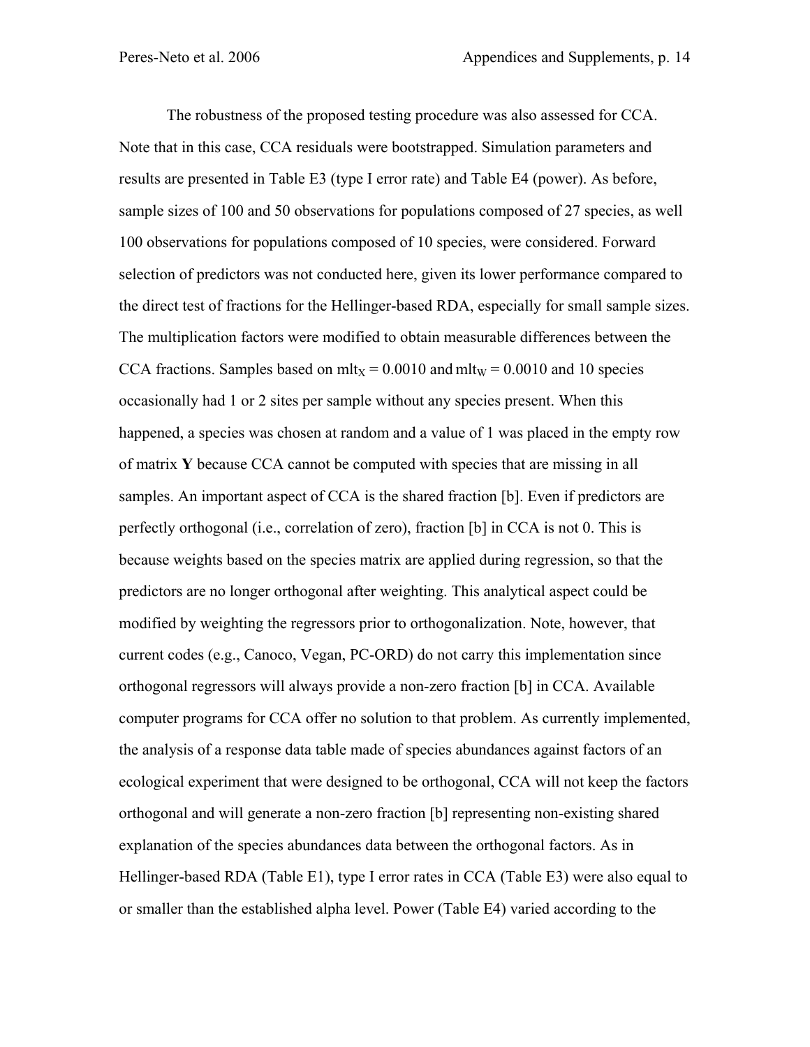The robustness of the proposed testing procedure was also assessed for CCA. Note that in this case, CCA residuals were bootstrapped. Simulation parameters and results are presented in Table E3 (type I error rate) and Table E4 (power). As before, sample sizes of 100 and 50 observations for populations composed of 27 species, as well 100 observations for populations composed of 10 species, were considered. Forward selection of predictors was not conducted here, given its lower performance compared to the direct test of fractions for the Hellinger-based RDA, especially for small sample sizes. The multiplication factors were modified to obtain measurable differences between the CCA fractions. Samples based on mlt<sub>X</sub> =  $0.0010$  and mlt<sub>W</sub> =  $0.0010$  and 10 species occasionally had 1 or 2 sites per sample without any species present. When this happened, a species was chosen at random and a value of 1 was placed in the empty row of matrix **Y** because CCA cannot be computed with species that are missing in all samples. An important aspect of CCA is the shared fraction [b]. Even if predictors are perfectly orthogonal (i.e., correlation of zero), fraction [b] in CCA is not 0. This is because weights based on the species matrix are applied during regression, so that the predictors are no longer orthogonal after weighting. This analytical aspect could be modified by weighting the regressors prior to orthogonalization. Note, however, that current codes (e.g., Canoco, Vegan, PC-ORD) do not carry this implementation since orthogonal regressors will always provide a non-zero fraction [b] in CCA. Available computer programs for CCA offer no solution to that problem. As currently implemented, the analysis of a response data table made of species abundances against factors of an ecological experiment that were designed to be orthogonal, CCA will not keep the factors orthogonal and will generate a non-zero fraction [b] representing non-existing shared explanation of the species abundances data between the orthogonal factors. As in Hellinger-based RDA (Table E1), type I error rates in CCA (Table E3) were also equal to or smaller than the established alpha level. Power (Table E4) varied according to the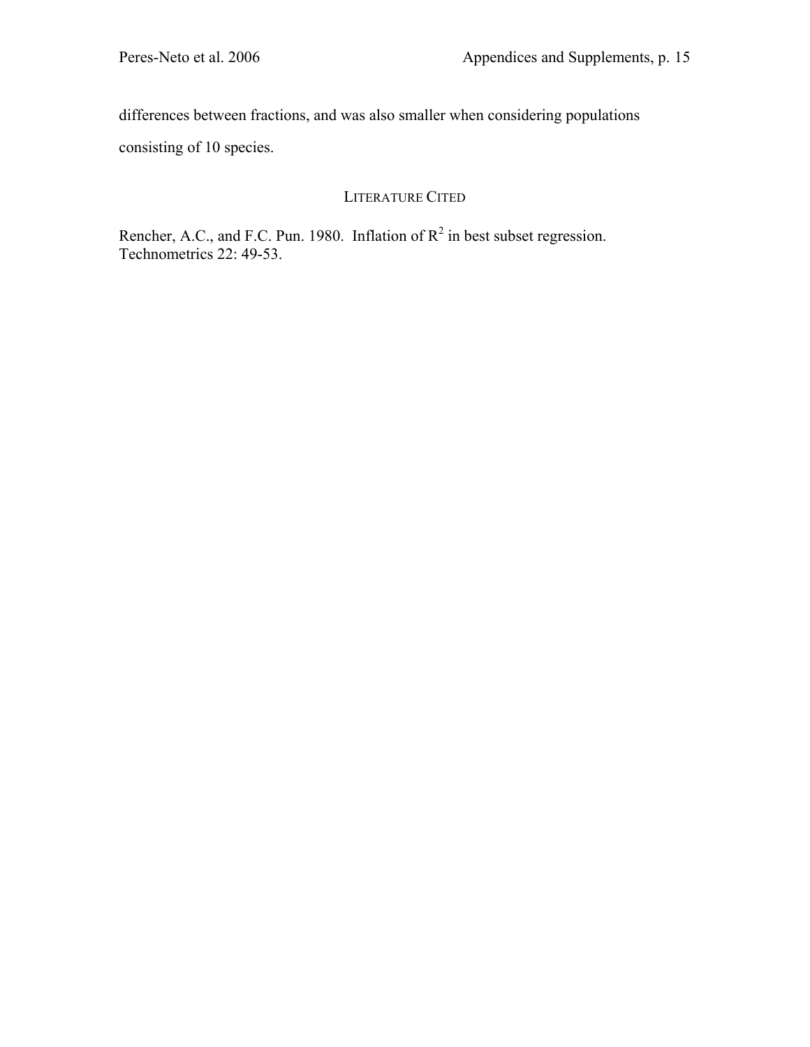differences between fractions, and was also smaller when considering populations consisting of 10 species.

# LITERATURE CITED

Rencher, A.C., and F.C. Pun. 1980. Inflation of  $R^2$  in best subset regression. Technometrics 22: 49-53.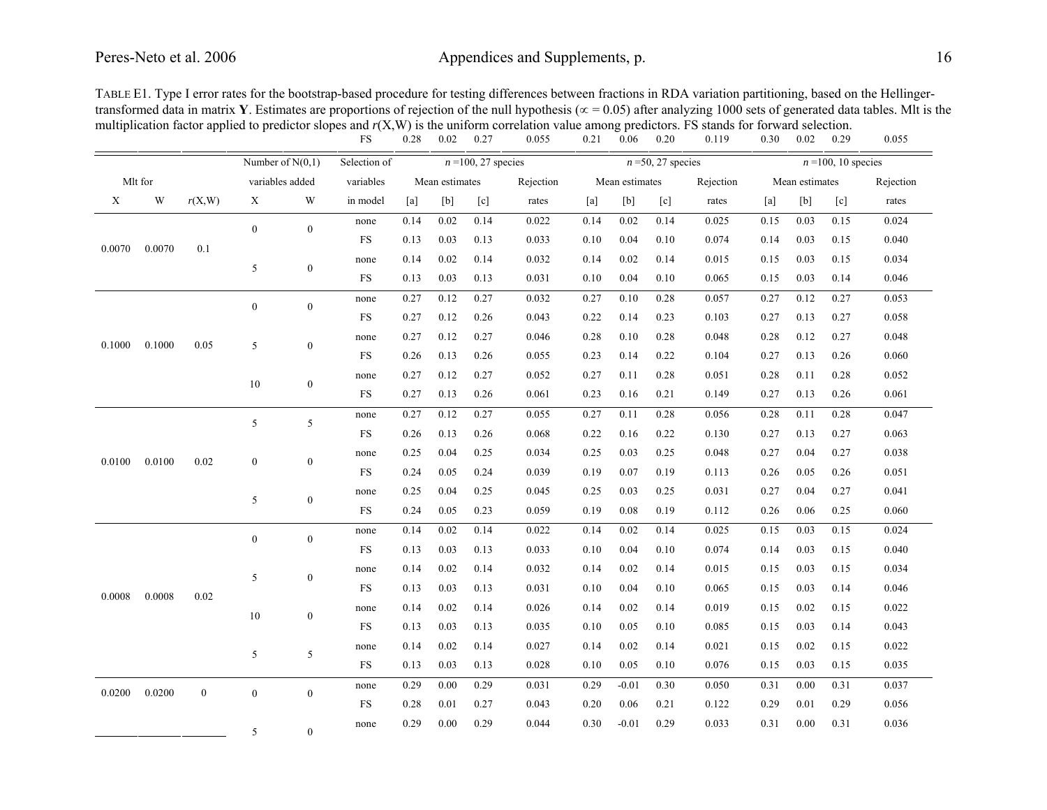# Peres-Neto et al. 2006 Appendices and Supplements, p. 16

|                  |         |                  | Number of $N(0,1)$ |                  | Selection of |      | $n=100, 27$ species |      |           |      |                | $n = 50$ , 27 species |           | $n = 100$ , 10 species |                |      |           |
|------------------|---------|------------------|--------------------|------------------|--------------|------|---------------------|------|-----------|------|----------------|-----------------------|-----------|------------------------|----------------|------|-----------|
|                  | Mlt for |                  | variables added    |                  | variables    |      | Mean estimates      |      | Rejection |      | Mean estimates |                       | Rejection |                        | Mean estimates |      | Rejection |
| X                | W       | r(X, W)          | $\mathbf X$        | W                | in model     | [a]  | [b]                 | [c]  | rates     | [a]  | [b]            | [c]                   | rates     | [a]                    | [b]            | [c]  | rates     |
|                  |         |                  | $\overline{0}$     | $\overline{0}$   | none         | 0.14 | 0.02                | 0.14 | 0.022     | 0.14 | 0.02           | 0.14                  | 0.025     | 0.15                   | 0.03           | 0.15 | 0.024     |
| 0.0070           | 0.0070  | 0.1              |                    |                  | $_{\rm FS}$  | 0.13 | 0.03                | 0.13 | 0.033     | 0.10 | 0.04           | 0.10                  | 0.074     | 0.14                   | 0.03           | 0.15 | 0.040     |
|                  |         |                  | 5                  | $\boldsymbol{0}$ | none         | 0.14 | 0.02                | 0.14 | 0.032     | 0.14 | 0.02           | 0.14                  | 0.015     | 0.15                   | 0.03           | 0.15 | 0.034     |
|                  |         |                  |                    |                  | <b>FS</b>    | 0.13 | 0.03                | 0.13 | 0.031     | 0.10 | 0.04           | 0.10                  | 0.065     | 0.15                   | 0.03           | 0.14 | 0.046     |
|                  |         |                  | $\boldsymbol{0}$   | $\overline{0}$   | none         | 0.27 | 0.12                | 0.27 | 0.032     | 0.27 | 0.10           | 0.28                  | 0.057     | 0.27                   | 0.12           | 0.27 | 0.053     |
|                  |         |                  |                    |                  | <b>FS</b>    | 0.27 | 0.12                | 0.26 | 0.043     | 0.22 | 0.14           | 0.23                  | 0.103     | 0.27                   | 0.13           | 0.27 | 0.058     |
| 0.1000<br>0.1000 |         | 0.05             | 5                  | $\mathbf{0}$     | none         | 0.27 | 0.12                | 0.27 | 0.046     | 0.28 | 0.10           | 0.28                  | 0.048     | 0.28                   | 0.12           | 0.27 | 0.048     |
|                  |         |                  |                    |                  | <b>FS</b>    | 0.26 | 0.13                | 0.26 | 0.055     | 0.23 | 0.14           | 0.22                  | 0.104     | 0.27                   | 0.13           | 0.26 | 0.060     |
|                  |         |                  | 10                 | $\boldsymbol{0}$ | none         | 0.27 | 0.12                | 0.27 | 0.052     | 0.27 | 0.11           | 0.28                  | 0.051     | 0.28                   | 0.11           | 0.28 | 0.052     |
|                  |         |                  |                    |                  | <b>FS</b>    | 0.27 | 0.13                | 0.26 | 0.061     | 0.23 | 0.16           | 0.21                  | 0.149     | 0.27                   | 0.13           | 0.26 | 0.061     |
|                  |         |                  | 5                  | 5                | none         | 0.27 | 0.12                | 0.27 | 0.055     | 0.27 | 0.11           | 0.28                  | 0.056     | 0.28                   | 0.11           | 0.28 | 0.047     |
|                  |         |                  |                    |                  | <b>FS</b>    | 0.26 | 0.13                | 0.26 | 0.068     | 0.22 | 0.16           | 0.22                  | 0.130     | 0.27                   | 0.13           | 0.27 | 0.063     |
| 0.0100           | 0.0100  | 0.02             | $\boldsymbol{0}$   | $\boldsymbol{0}$ | none         | 0.25 | 0.04                | 0.25 | 0.034     | 0.25 | 0.03           | 0.25                  | 0.048     | 0.27                   | 0.04           | 0.27 | 0.038     |
|                  |         |                  |                    |                  | <b>FS</b>    | 0.24 | 0.05                | 0.24 | 0.039     | 0.19 | 0.07           | 0.19                  | 0.113     | 0.26                   | 0.05           | 0.26 | 0.051     |
|                  |         |                  | 5                  | $\boldsymbol{0}$ | none         | 0.25 | 0.04                | 0.25 | 0.045     | 0.25 | 0.03           | 0.25                  | 0.031     | 0.27                   | 0.04           | 0.27 | 0.041     |
|                  |         |                  |                    |                  | <b>FS</b>    | 0.24 | 0.05                | 0.23 | 0.059     | 0.19 | 0.08           | 0.19                  | 0.112     | 0.26                   | 0.06           | 0.25 | 0.060     |
|                  |         |                  | $\boldsymbol{0}$   | $\mathbf{0}$     | none         | 0.14 | 0.02                | 0.14 | 0.022     | 0.14 | 0.02           | 0.14                  | 0.025     | 0.15                   | 0.03           | 0.15 | 0.024     |
|                  |         |                  |                    |                  | <b>FS</b>    | 0.13 | 0.03                | 0.13 | 0.033     | 0.10 | 0.04           | 0.10                  | 0.074     | 0.14                   | 0.03           | 0.15 | 0.040     |
|                  |         |                  | 5                  | $\boldsymbol{0}$ | none         | 0.14 | 0.02                | 0.14 | 0.032     | 0.14 | 0.02           | 0.14                  | 0.015     | 0.15                   | 0.03           | 0.15 | 0.034     |
| 0.0008           | 0.0008  | 0.02             |                    |                  | $_{\rm FS}$  | 0.13 | 0.03                | 0.13 | 0.031     | 0.10 | 0.04           | 0.10                  | 0.065     | 0.15                   | 0.03           | 0.14 | 0.046     |
|                  |         |                  | 10                 | $\boldsymbol{0}$ | none         | 0.14 | 0.02                | 0.14 | 0.026     | 0.14 | 0.02           | 0.14                  | 0.019     | 0.15                   | 0.02           | 0.15 | 0.022     |
|                  |         |                  |                    |                  | <b>FS</b>    | 0.13 | 0.03                | 0.13 | 0.035     | 0.10 | 0.05           | 0.10                  | 0.085     | 0.15                   | 0.03           | 0.14 | 0.043     |
|                  |         |                  | 5                  | 5                | none         | 0.14 | 0.02                | 0.14 | 0.027     | 0.14 | 0.02           | 0.14                  | 0.021     | 0.15                   | 0.02           | 0.15 | 0.022     |
|                  |         |                  |                    |                  | <b>FS</b>    | 0.13 | 0.03                | 0.13 | 0.028     | 0.10 | 0.05           | 0.10                  | 0.076     | 0.15                   | 0.03           | 0.15 | 0.035     |
| 0.0200           | 0.0200  | $\boldsymbol{0}$ | $\boldsymbol{0}$   | $\mathbf{0}$     | none         | 0.29 | 0.00                | 0.29 | 0.031     | 0.29 | $-0.01$        | 0.30                  | 0.050     | 0.31                   | 0.00           | 0.31 | 0.037     |
|                  |         |                  |                    |                  | <b>FS</b>    | 0.28 | 0.01                | 0.27 | 0.043     | 0.20 | 0.06           | 0.21                  | 0.122     | 0.29                   | 0.01           | 0.29 | 0.056     |
|                  |         |                  | 5                  | $\Omega$         | none         | 0.29 | 0.00                | 0.29 | 0.044     | 0.30 | $-0.01$        | 0.29                  | 0.033     | 0.31                   | 0.00           | 0.31 | 0.036     |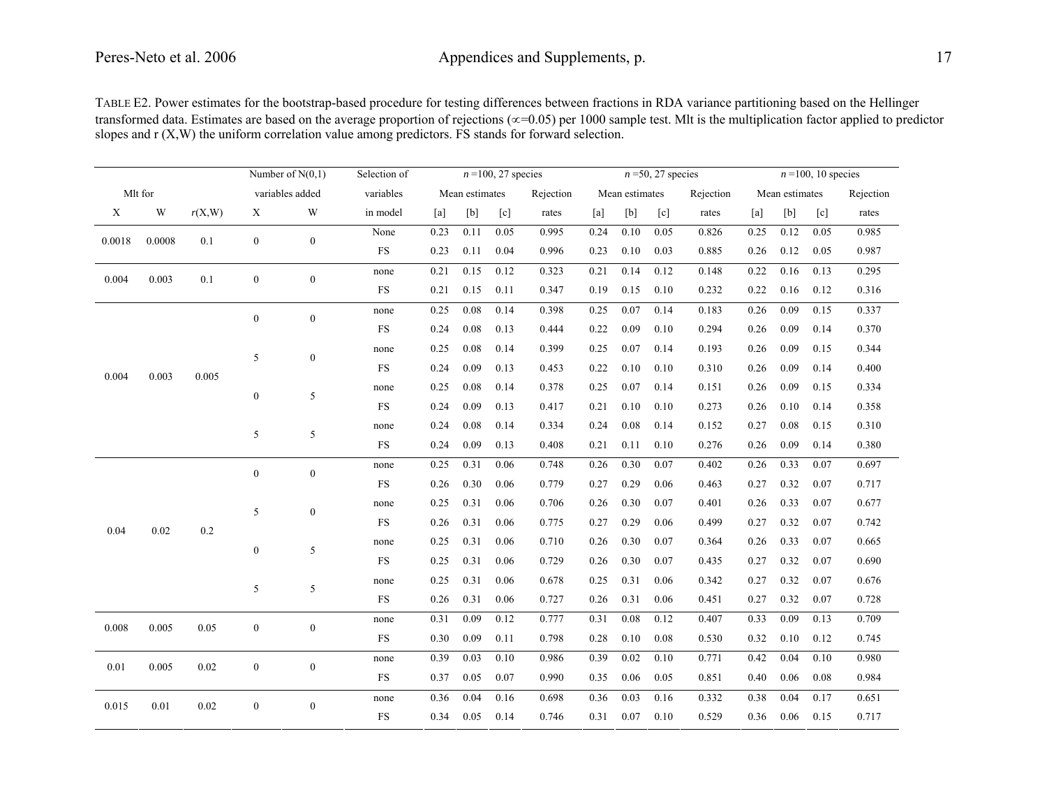TABLE E2. Power estimates for the bootstrap-based procedure for testing differences between fractions in RDA variance partitioning based on the Hellinger transformed data. Estimates are based on the average proportion of rejections (∝=0.05) per 1000 sample test. Mlt is the multiplication factor applied to predictor slopes and r (X,W) the uniform correlation value among predictors. FS stands for forward selection.

|         |        |        |                  | Number of $N(0,1)$ | Selection of |      |                | $n = 100$ , 27 species |           |      |                | $n = 50$ , 27 species |           | $n = 100$ , 10 species |                |                   |           |  |
|---------|--------|--------|------------------|--------------------|--------------|------|----------------|------------------------|-----------|------|----------------|-----------------------|-----------|------------------------|----------------|-------------------|-----------|--|
| Mlt for |        |        |                  | variables added    | variables    |      | Mean estimates |                        | Rejection |      | Mean estimates |                       | Rejection |                        | Mean estimates |                   | Rejection |  |
| X       | W      | r(X,W) | X                | W                  | in model     | [a]  | [b]            | [c]                    | rates     | [a]  | [b]            | $\lceil c \rceil$     | rates     | [a]                    | [b]            | $\lceil c \rceil$ | rates     |  |
| 0.0018  | 0.0008 | 0.1    | $\boldsymbol{0}$ | $\mathbf{0}$       | None         | 0.23 | 0.11           | 0.05                   | 0.995     | 0.24 | 0.10           | 0.05                  | 0.826     | 0.25                   | 0.12           | 0.05              | 0.985     |  |
|         |        |        |                  |                    | <b>FS</b>    | 0.23 | 0.11           | 0.04                   | 0.996     | 0.23 | 0.10           | 0.03                  | 0.885     | 0.26                   | 0.12           | 0.05              | 0.987     |  |
| 0.004   | 0.003  | 0.1    | $\mathbf{0}$     | $\boldsymbol{0}$   | none         | 0.21 | 0.15           | 0.12                   | 0.323     | 0.21 | 0.14           | 0.12                  | 0.148     | 0.22                   | 0.16           | 0.13              | 0.295     |  |
|         |        |        |                  |                    | <b>FS</b>    | 0.21 | 0.15           | 0.11                   | 0.347     | 0.19 | 0.15           | 0.10                  | 0.232     | 0.22                   | 0.16           | 0.12              | 0.316     |  |
|         |        |        | $\boldsymbol{0}$ | $\boldsymbol{0}$   | none         | 0.25 | 0.08           | 0.14                   | 0.398     | 0.25 | 0.07           | 0.14                  | 0.183     | 0.26                   | 0.09           | 0.15              | 0.337     |  |
|         |        |        |                  |                    | <b>FS</b>    | 0.24 | 0.08           | 0.13                   | 0.444     | 0.22 | 0.09           | 0.10                  | 0.294     | 0.26                   | 0.09           | 0.14              | 0.370     |  |
|         |        | 5      |                  | $\boldsymbol{0}$   | none         | 0.25 | 0.08           | 0.14                   | 0.399     | 0.25 | 0.07           | 0.14                  | 0.193     | 0.26                   | 0.09           | 0.15              | 0.344     |  |
| 0.004   | 0.003  | 0.005  |                  |                    | <b>FS</b>    | 0.24 | 0.09           | 0.13                   | 0.453     | 0.22 | 0.10           | 0.10                  | 0.310     | 0.26                   | 0.09           | 0.14              | 0.400     |  |
|         |        |        | $\boldsymbol{0}$ | 5                  | none         | 0.25 | 0.08           | 0.14                   | 0.378     | 0.25 | 0.07           | 0.14                  | 0.151     | 0.26                   | 0.09           | 0.15              | 0.334     |  |
|         |        |        |                  |                    | <b>FS</b>    | 0.24 | 0.09           | 0.13                   | 0.417     | 0.21 | 0.10           | 0.10                  | 0.273     | 0.26                   | 0.10           | 0.14              | 0.358     |  |
|         |        |        | 5                | 5                  | none         | 0.24 | 0.08           | 0.14                   | 0.334     | 0.24 | 0.08           | 0.14                  | 0.152     | 0.27                   | 0.08           | 0.15              | 0.310     |  |
|         |        |        |                  |                    | <b>FS</b>    | 0.24 | 0.09           | 0.13                   | 0.408     | 0.21 | 0.11           | 0.10                  | 0.276     | 0.26                   | 0.09           | 0.14              | 0.380     |  |
|         |        |        | $\boldsymbol{0}$ | $\boldsymbol{0}$   | none         | 0.25 | 0.31           | 0.06                   | 0.748     | 0.26 | 0.30           | 0.07                  | 0.402     | 0.26                   | 0.33           | 0.07              | 0.697     |  |
|         |        |        |                  |                    | <b>FS</b>    | 0.26 | 0.30           | 0.06                   | 0.779     | 0.27 | 0.29           | 0.06                  | 0.463     | 0.27                   | 0.32           | 0.07              | 0.717     |  |
|         |        |        | 5                | $\boldsymbol{0}$   | none         | 0.25 | 0.31           | 0.06                   | 0.706     | 0.26 | 0.30           | 0.07                  | 0.401     | 0.26                   | 0.33           | 0.07              | 0.677     |  |
| 0.04    | 0.02   | 0.2    |                  |                    | <b>FS</b>    | 0.26 | 0.31           | 0.06                   | 0.775     | 0.27 | 0.29           | 0.06                  | 0.499     | 0.27                   | 0.32           | 0.07              | 0.742     |  |
|         |        |        | $\boldsymbol{0}$ | 5                  | none         | 0.25 | 0.31           | 0.06                   | 0.710     | 0.26 | 0.30           | 0.07                  | 0.364     | 0.26                   | 0.33           | 0.07              | 0.665     |  |
|         |        |        |                  |                    | <b>FS</b>    | 0.25 | 0.31           | 0.06                   | 0.729     | 0.26 | 0.30           | 0.07                  | 0.435     | 0.27                   | 0.32           | 0.07              | 0.690     |  |
|         |        |        | 5                | 5                  | none         | 0.25 | 0.31           | 0.06                   | 0.678     | 0.25 | 0.31           | 0.06                  | 0.342     | 0.27                   | 0.32           | 0.07              | 0.676     |  |
|         |        |        |                  |                    | <b>FS</b>    | 0.26 | 0.31           | 0.06                   | 0.727     | 0.26 | 0.31           | 0.06                  | 0.451     | 0.27                   | 0.32           | 0.07              | 0.728     |  |
| 0.008   | 0.005  | 0.05   | $\boldsymbol{0}$ | $\boldsymbol{0}$   | none         | 0.31 | 0.09           | 0.12                   | 0.777     | 0.31 | 0.08           | 0.12                  | 0.407     | 0.33                   | 0.09           | 0.13              | 0.709     |  |
|         |        |        |                  |                    | <b>FS</b>    | 0.30 | 0.09           | 0.11                   | 0.798     | 0.28 | 0.10           | 0.08                  | 0.530     | 0.32                   | 0.10           | 0.12              | 0.745     |  |
| 0.01    | 0.005  | 0.02   | $\mathbf{0}$     | $\boldsymbol{0}$   | none         | 0.39 | 0.03           | 0.10                   | 0.986     | 0.39 | 0.02           | 0.10                  | 0.771     | 0.42                   | 0.04           | 0.10              | 0.980     |  |
|         |        |        |                  |                    | <b>FS</b>    | 0.37 | 0.05           | 0.07                   | 0.990     | 0.35 | 0.06           | 0.05                  | 0.851     | 0.40                   | 0.06           | 0.08              | 0.984     |  |
| 0.015   | 0.01   | 0.02   | $\boldsymbol{0}$ | $\boldsymbol{0}$   | none         | 0.36 | 0.04           | 0.16                   | 0.698     | 0.36 | 0.03           | 0.16                  | 0.332     | 0.38                   | 0.04           | 0.17              | 0.651     |  |
|         |        |        |                  |                    | <b>FS</b>    | 0.34 | 0.05           | 0.14                   | 0.746     | 0.31 | 0.07           | 0.10                  | 0.529     | 0.36                   | 0.06           | 0.15              | 0.717     |  |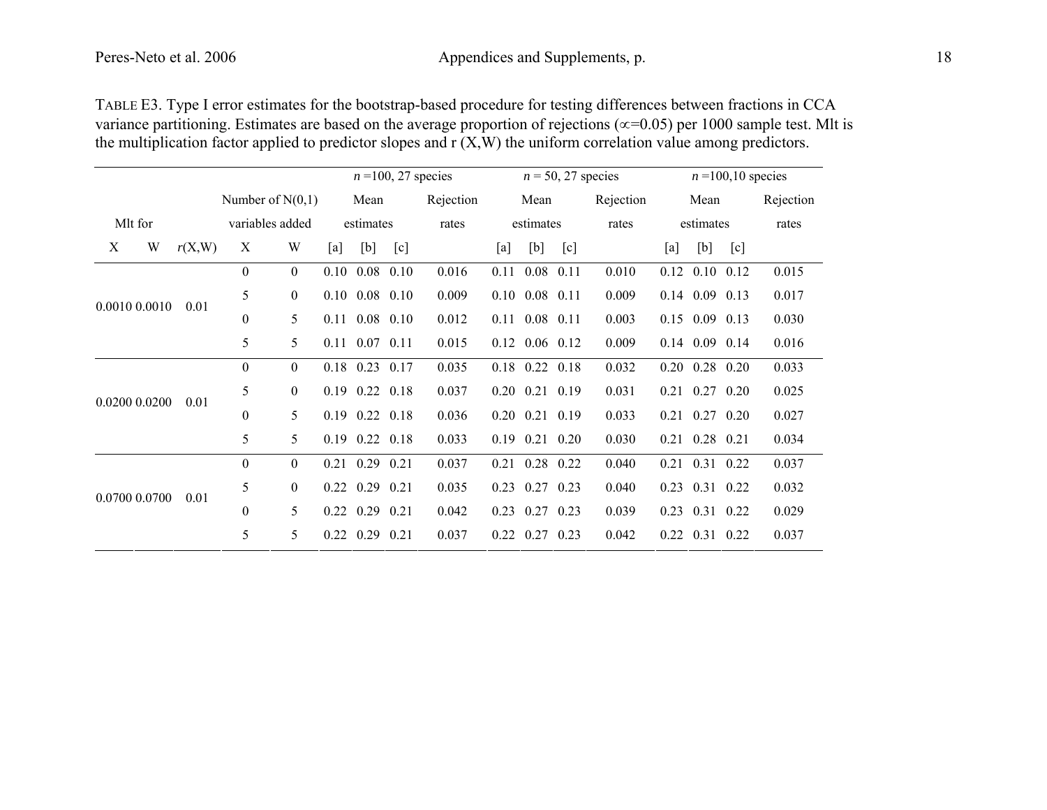| TABLE E3. Type I error estimates for the bootstrap-based procedure for testing differences between fractions in CCA               |
|-----------------------------------------------------------------------------------------------------------------------------------|
| variance partitioning. Estimates are based on the average proportion of rejections ( $\infty$ =0.05) per 1000 sample test. Mlt is |
| the multiplication factor applied to predictor slopes and $r(X, W)$ the uniform correlation value among predictors.               |

|               |      | $n = 100, 27$ species |                 |                    |                              |                      |       | $n = 50, 27$ species | $n = 100, 10$ species |                      |           |       |                  |                              |       |       |
|---------------|------|-----------------------|-----------------|--------------------|------------------------------|----------------------|-------|----------------------|-----------------------|----------------------|-----------|-------|------------------|------------------------------|-------|-------|
|               |      |                       |                 | Number of $N(0,1)$ |                              | Rejection<br>Mean    |       |                      | Mean                  |                      | Rejection | Mean  |                  | Rejection                    |       |       |
| Mlt for       |      |                       | variables added |                    |                              | estimates            |       | rates                | estimates             |                      | rates     |       | estimates        |                              | rates |       |
| W<br>X        |      | r(X, W)               | X               | W                  | [a]                          | [b]                  | [c]   |                      | [a]                   | [b]                  | [c]       |       | [a]              | [b]                          | [c]   |       |
|               |      |                       | $\overline{0}$  | $\mathbf{0}$       |                              | $0.10 \quad 0.08$    | 0.10  | 0.016                | 0.11                  | $0.08$ 0.11          |           | 0.010 | 0.12             | $0.10 \quad 0.12$            |       | 0.015 |
| 0.0010 0.0010 | 0.01 | 5                     | $\overline{0}$  |                    | $0.10 \quad 0.08 \quad 0.10$ |                      | 0.009 |                      | $0.10$ $0.08$ $0.11$  |                      | 0.009     |       | $0.14$ 0.09 0.13 |                              | 0.017 |       |
|               |      | $\overline{0}$        | 5               |                    | $0.11$ $0.08$ $0.10$         |                      | 0.012 |                      | $0.11$ $0.08$ $0.11$  |                      | 0.003     |       | $0.15$ 0.09 0.13 |                              | 0.030 |       |
|               |      |                       | 5               | 5                  |                              | $0.11$ $0.07$ $0.11$ |       | 0.015                |                       | $0.12$ $0.06$ $0.12$ |           | 0.009 |                  | $0.14$ 0.09 0.14             |       | 0.016 |
|               |      |                       | $\overline{0}$  | $\overline{0}$     |                              | $0.18$ 0.23 0.17     |       | 0.035                |                       | $0.18$ 0.22 0.18     |           | 0.032 |                  | $0.20 \quad 0.28 \quad 0.20$ |       | 0.033 |
| 0.0200 0.0200 |      |                       | 5               | $\overline{0}$     |                              | $0.19$ $0.22$ $0.18$ |       | 0.037                |                       | $0.20$ $0.21$ $0.19$ |           | 0.031 |                  | $0.21$ $0.27$ $0.20$         |       | 0.025 |
|               |      | 0.01                  | $\overline{0}$  | 5                  |                              | $0.19$ $0.22$ $0.18$ |       | 0.036                |                       | $0.20$ $0.21$ $0.19$ |           | 0.033 |                  | $0.21$ $0.27$ $0.20$         |       | 0.027 |
|               |      |                       | 5               | 5                  |                              | $0.19$ $0.22$ $0.18$ |       | 0.033                |                       | $0.19$ $0.21$ $0.20$ |           | 0.030 |                  | $0.21$ $0.28$ $0.21$         |       | 0.034 |
|               |      |                       | $\overline{0}$  | $\overline{0}$     |                              | $0.21$ 0.29 0.21     |       | 0.037                |                       | $0.21$ $0.28$ $0.22$ |           | 0.040 |                  | $0.21$ $0.31$ $0.22$         |       | 0.037 |
|               |      |                       | 5               | $\theta$           |                              | $0.22$ $0.29$ $0.21$ |       | 0.035                |                       | $0.23$ 0.27 0.23     |           | 0.040 |                  | 0.23 0.31 0.22               |       | 0.032 |
| 0.0700 0.0700 |      | 0.01                  | $\theta$        | 5                  |                              | $0.22 \quad 0.29$    | 0.21  | 0.042                |                       | $0.23$ 0.27 0.23     |           | 0.039 |                  | 0.23 0.31 0.22               |       | 0.029 |
|               |      |                       | 5               | 5                  |                              | $0.22$ 0.29 0.21     |       | 0.037                |                       | $0.22$ $0.27$ $0.23$ |           | 0.042 |                  | $0.22$ $0.31$ $0.22$         |       | 0.037 |